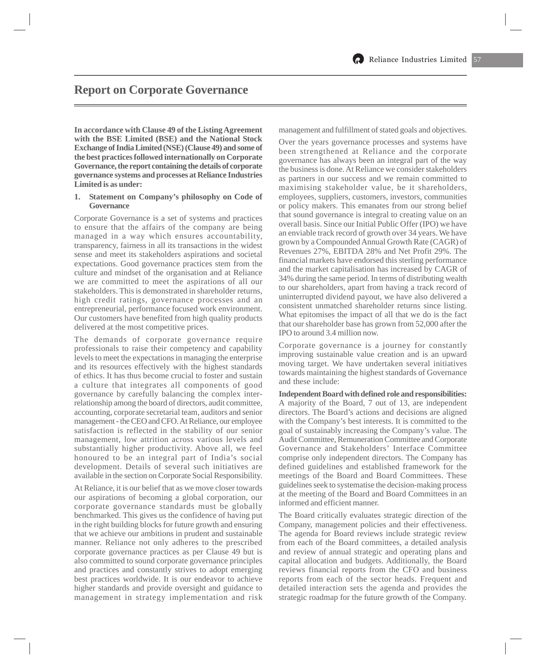# **Report on Corporate Governance**

**In accordance with Clause 49 of the Listing Agreement with the BSE Limited (BSE) and the National Stock Exchange of India Limited (NSE) (Clause 49) and some of the best practices followed internationally on Corporate Governance, the report containing the details of corporate governance systems and processes at Reliance Industries Limited is as under:**

#### **1. Statement on Company's philosophy on Code of Governance**

Corporate Governance is a set of systems and practices to ensure that the affairs of the company are being managed in a way which ensures accountability, transparency, fairness in all its transactions in the widest sense and meet its stakeholders aspirations and societal expectations. Good governance practices stem from the culture and mindset of the organisation and at Reliance we are committed to meet the aspirations of all our stakeholders. This is demonstrated in shareholder returns, high credit ratings, governance processes and an entrepreneurial, performance focused work environment. Our customers have benefited from high quality products delivered at the most competitive prices.

The demands of corporate governance require professionals to raise their competency and capability levels to meet the expectations in managing the enterprise and its resources effectively with the highest standards of ethics. It has thus become crucial to foster and sustain a culture that integrates all components of good governance by carefully balancing the complex interrelationship among the board of directors, audit committee, accounting, corporate secretarial team, auditors and senior management - the CEO and CFO. At Reliance, our employee satisfaction is reflected in the stability of our senior management, low attrition across various levels and substantially higher productivity. Above all, we feel honoured to be an integral part of India's social development. Details of several such initiatives are available in the section on Corporate Social Responsibility.

At Reliance, it is our belief that as we move closer towards our aspirations of becoming a global corporation, our corporate governance standards must be globally benchmarked. This gives us the confidence of having put in the right building blocks for future growth and ensuring that we achieve our ambitions in prudent and sustainable manner. Reliance not only adheres to the prescribed corporate governance practices as per Clause 49 but is also committed to sound corporate governance principles and practices and constantly strives to adopt emerging best practices worldwide. It is our endeavor to achieve higher standards and provide oversight and guidance to management in strategy implementation and risk

management and fulfillment of stated goals and objectives.

Over the years governance processes and systems have been strengthened at Reliance and the corporate governance has always been an integral part of the way the business is done. At Reliance we consider stakeholders as partners in our success and we remain committed to maximising stakeholder value, be it shareholders, employees, suppliers, customers, investors, communities or policy makers. This emanates from our strong belief that sound governance is integral to creating value on an overall basis. Since our Initial Public Offer (IPO) we have an enviable track record of growth over 34 years. We have grown by a Compounded Annual Growth Rate (CAGR) of Revenues 27%, EBITDA 28% and Net Profit 29%. The financial markets have endorsed this sterling performance and the market capitalisation has increased by CAGR of 34% during the same period. In terms of distributing wealth to our shareholders, apart from having a track record of uninterrupted dividend payout, we have also delivered a consistent unmatched shareholder returns since listing. What epitomises the impact of all that we do is the fact that our shareholder base has grown from 52,000 after the IPO to around 3.4 million now.

Corporate governance is a journey for constantly improving sustainable value creation and is an upward moving target. We have undertaken several initiatives towards maintaining the highest standards of Governance and these include:

**Independent Board with defined role and responsibilities:** A majority of the Board, 7 out of 13, are independent directors. The Board's actions and decisions are aligned with the Company's best interests. It is committed to the goal of sustainably increasing the Company's value. The Audit Committee, Remuneration Committee and Corporate Governance and Stakeholders' Interface Committee comprise only independent directors. The Company has defined guidelines and established framework for the meetings of the Board and Board Committees. These guidelines seek to systematise the decision-making process at the meeting of the Board and Board Committees in an informed and efficient manner.

The Board critically evaluates strategic direction of the Company, management policies and their effectiveness. The agenda for Board reviews include strategic review from each of the Board committees, a detailed analysis and review of annual strategic and operating plans and capital allocation and budgets. Additionally, the Board reviews financial reports from the CFO and business reports from each of the sector heads. Frequent and detailed interaction sets the agenda and provides the strategic roadmap for the future growth of the Company.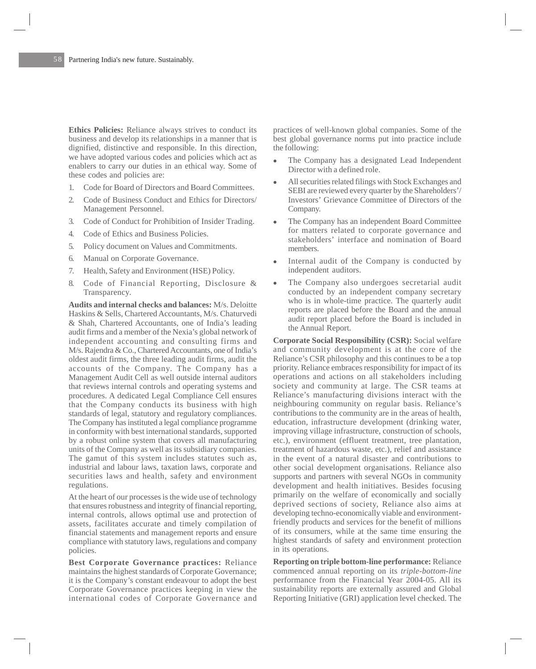**Ethics Policies:** Reliance always strives to conduct its business and develop its relationships in a manner that is dignified, distinctive and responsible. In this direction, we have adopted various codes and policies which act as enablers to carry our duties in an ethical way. Some of these codes and policies are:

- 1. Code for Board of Directors and Board Committees.
- 2. Code of Business Conduct and Ethics for Directors/ Management Personnel.
- 3. Code of Conduct for Prohibition of Insider Trading.
- 4. Code of Ethics and Business Policies.
- 5. Policy document on Values and Commitments.
- 6. Manual on Corporate Governance.
- 7. Health, Safety and Environment (HSE) Policy.
- Code of Financial Reporting, Disclosure & Transparency.

**Audits and internal checks and balances:** M/s. Deloitte Haskins & Sells, Chartered Accountants, M/s. Chaturvedi & Shah, Chartered Accountants, one of India's leading audit firms and a member of the Nexia's global network of independent accounting and consulting firms and M/s. Rajendra & Co., Chartered Accountants, one of India's oldest audit firms, the three leading audit firms, audit the accounts of the Company. The Company has a Management Audit Cell as well outside internal auditors that reviews internal controls and operating systems and procedures. A dedicated Legal Compliance Cell ensures that the Company conducts its business with high standards of legal, statutory and regulatory compliances. The Company has instituted a legal compliance programme in conformity with best international standards, supported by a robust online system that covers all manufacturing units of the Company as well as its subsidiary companies. The gamut of this system includes statutes such as, industrial and labour laws, taxation laws, corporate and securities laws and health, safety and environment regulations.

At the heart of our processes is the wide use of technology that ensures robustness and integrity of financial reporting, internal controls, allows optimal use and protection of assets, facilitates accurate and timely compilation of financial statements and management reports and ensure compliance with statutory laws, regulations and company policies.

**Best Corporate Governance practices:** Reliance maintains the highest standards of Corporate Governance; it is the Company's constant endeavour to adopt the best Corporate Governance practices keeping in view the international codes of Corporate Governance and practices of well-known global companies. Some of the best global governance norms put into practice include the following:

- The Company has a designated Lead Independent Director with a defined role.
- All securities related filings with Stock Exchanges and SEBI are reviewed every quarter by the Shareholders'/ Investors' Grievance Committee of Directors of the Company.
- The Company has an independent Board Committee for matters related to corporate governance and stakeholders' interface and nomination of Board members.
- Internal audit of the Company is conducted by independent auditors.
- The Company also undergoes secretarial audit conducted by an independent company secretary who is in whole-time practice. The quarterly audit reports are placed before the Board and the annual audit report placed before the Board is included in the Annual Report.

**Corporate Social Responsibility (CSR):** Social welfare and community development is at the core of the Reliance's CSR philosophy and this continues to be a top priority. Reliance embraces responsibility for impact of its operations and actions on all stakeholders including society and community at large. The CSR teams at Reliance's manufacturing divisions interact with the neighbouring community on regular basis. Reliance's contributions to the community are in the areas of health, education, infrastructure development (drinking water, improving village infrastructure, construction of schools, etc.), environment (effluent treatment, tree plantation, treatment of hazardous waste, etc.), relief and assistance in the event of a natural disaster and contributions to other social development organisations. Reliance also supports and partners with several NGOs in community development and health initiatives. Besides focusing primarily on the welfare of economically and socially deprived sections of society, Reliance also aims at developing techno-economically viable and environmentfriendly products and services for the benefit of millions of its consumers, while at the same time ensuring the highest standards of safety and environment protection in its operations.

**Reporting on triple bottom-line performance:** Reliance commenced annual reporting on its *triple-bottom-line* performance from the Financial Year 2004-05. All its sustainability reports are externally assured and Global Reporting Initiative (GRI) application level checked. The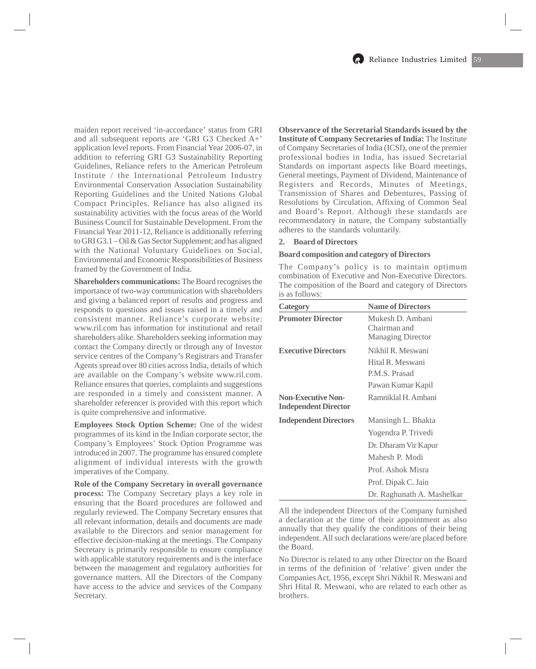maiden report received 'in-accordance' status from GRI and all subsequent reports are 'GRI G3 Checked A+' application level reports. From Financial Year 2006-07, in addition to referring GRI G3 Sustainability Reporting Guidelines, Reliance refers to the American Petroleum Institute / the International Petroleum Industry Environmental Conservation Association Sustainability Reporting Guidelines and the United Nations Global Compact Principles. Reliance has also aligned its sustainability activities with the focus areas of the World Business Council for Sustainable Development. From the Financial Year 2011-12, Reliance is additionally referring to GRI G3.1 – Oil & Gas Sector Supplement; and has aligned with the National Voluntary Guidelines on Social, Environmental and Economic Responsibilities of Business framed by the Government of India.

**Shareholders communications:** The Board recognises the importance of two-way communication with shareholders and giving a balanced report of results and progress and responds to questions and issues raised in a timely and consistent manner. Reliance's corporate website: www.ril.com has information for institutional and retail shareholders alike. Shareholders seeking information may contact the Company directly or through any of Investor service centres of the Company's Registrars and Transfer Agents spread over 80 cities across India, details of which are available on the Company's website www.ril.com. Reliance ensures that queries, complaints and suggestions are responded in a timely and consistent manner. A shareholder referencer is provided with this report which is quite comprehensive and informative.

**Employees Stock Option Scheme:** One of the widest programmes of its kind in the Indian corporate sector, the Company's Employees' Stock Option Programme was introduced in 2007. The programme has ensured complete alignment of individual interests with the growth imperatives of the Company.

**Role of the Company Secretary in overall governance process:** The Company Secretary plays a key role in ensuring that the Board procedures are followed and regularly reviewed. The Company Secretary ensures that all relevant information, details and documents are made available to the Directors and senior management for effective decision-making at the meetings. The Company Secretary is primarily responsible to ensure compliance with applicable statutory requirements and is the interface between the management and regulatory authorities for governance matters. All the Directors of the Company have access to the advice and services of the Company Secretary.

**Observance of the Secretarial Standards issued by the Institute of Company Secretaries of India:** The Institute of Company Secretaries of India (ICSI), one of the premier professional bodies in India, has issued Secretarial Standards on important aspects like Board meetings, General meetings, Payment of Dividend, Maintenance of Registers and Records, Minutes of Meetings, Transmission of Shares and Debentures, Passing of Resolutions by Circulation, Affixing of Common Seal and Board's Report. Although these standards are recommendatory in nature, the Company substantially adheres to the standards voluntarily.

#### **2. Board of Directors**

#### **Board composition and category of Directors**

The Company's policy is to maintain optimum combination of Executive and Non-Executive Directors. The composition of the Board and category of Directors is as follows:

| Category                                                 | <b>Name of Directors</b>                                                                                                                                      |
|----------------------------------------------------------|---------------------------------------------------------------------------------------------------------------------------------------------------------------|
| <b>Promoter Director</b>                                 | Mukesh D. Ambani<br>Chairman and<br><b>Managing Director</b>                                                                                                  |
| <b>Executive Directors</b>                               | Nikhil R. Meswani<br>Hital R. Meswani<br>P.M.S. Prasad<br>Pawan Kumar Kapil                                                                                   |
| <b>Non-Executive Non-</b><br><b>Independent Director</b> | Ramniklal H. Ambani                                                                                                                                           |
| <b>Independent Directors</b>                             | Mansingh L. Bhakta<br>Yogendra P. Trivedi<br>Dr. Dharam Vir Kapur<br>Mahesh P. Modi<br>Prof. Ashok Misra<br>Prof. Dipak C. Jain<br>Dr. Raghunath A. Mashelkar |

All the independent Directors of the Company furnished a declaration at the time of their appointment as also annually that they qualify the conditions of their being independent. All such declarations were/are placed before the Board.

No Director is related to any other Director on the Board in terms of the definition of 'relative' given under the Companies Act, 1956, except Shri Nikhil R. Meswani and Shri Hital R. Meswani, who are related to each other as brothers.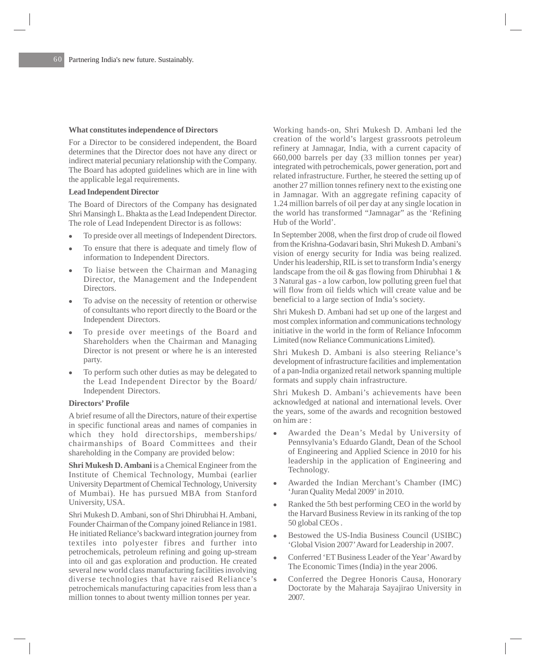#### **What constitutes independence of Directors**

For a Director to be considered independent, the Board determines that the Director does not have any direct or indirect material pecuniary relationship with the Company. The Board has adopted guidelines which are in line with the applicable legal requirements.

### **Lead Independent Director**

The Board of Directors of the Company has designated Shri Mansingh L. Bhakta as the Lead Independent Director. The role of Lead Independent Director is as follows:

- To preside over all meetings of Independent Directors.
- To ensure that there is adequate and timely flow of information to Independent Directors.
- To liaise between the Chairman and Managing Director, the Management and the Independent Directors.
- To advise on the necessity of retention or otherwise of consultants who report directly to the Board or the Independent Directors.
- To preside over meetings of the Board and Shareholders when the Chairman and Managing Director is not present or where he is an interested party.
- To perform such other duties as may be delegated to the Lead Independent Director by the Board/ Independent Directors.

### **Directors' Profile**

A brief resume of all the Directors, nature of their expertise in specific functional areas and names of companies in which they hold directorships, memberships/ chairmanships of Board Committees and their shareholding in the Company are provided below:

**Shri Mukesh D. Ambani** is a Chemical Engineer from the Institute of Chemical Technology, Mumbai (earlier University Department of Chemical Technology, University of Mumbai). He has pursued MBA from Stanford University, USA.

Shri Mukesh D. Ambani, son of Shri Dhirubhai H. Ambani, Founder Chairman of the Company joined Reliance in 1981. He initiated Reliance's backward integration journey from textiles into polyester fibres and further into petrochemicals, petroleum refining and going up-stream into oil and gas exploration and production. He created several new world class manufacturing facilities involving diverse technologies that have raised Reliance's petrochemicals manufacturing capacities from less than a million tonnes to about twenty million tonnes per year.

Working hands-on, Shri Mukesh D. Ambani led the creation of the world's largest grassroots petroleum refinery at Jamnagar, India, with a current capacity of 660,000 barrels per day (33 million tonnes per year) integrated with petrochemicals, power generation, port and related infrastructure. Further, he steered the setting up of another 27 million tonnes refinery next to the existing one in Jamnagar. With an aggregate refining capacity of 1.24 million barrels of oil per day at any single location in the world has transformed "Jamnagar" as the 'Refining Hub of the World'.

In September 2008, when the first drop of crude oil flowed from the Krishna-Godavari basin, Shri Mukesh D. Ambani's vision of energy security for India was being realized. Under his leadership, RIL is set to transform India's energy landscape from the oil & gas flowing from Dhirubhai 1 & 3 Natural gas - a low carbon, low polluting green fuel that will flow from oil fields which will create value and be beneficial to a large section of India's society.

Shri Mukesh D. Ambani had set up one of the largest and most complex information and communications technology initiative in the world in the form of Reliance Infocomm Limited (now Reliance Communications Limited).

Shri Mukesh D. Ambani is also steering Reliance's development of infrastructure facilities and implementation of a pan-India organized retail network spanning multiple formats and supply chain infrastructure.

Shri Mukesh D. Ambani's achievements have been acknowledged at national and international levels. Over the years, some of the awards and recognition bestowed on him are :

- Awarded the Dean's Medal by University of Pennsylvania's Eduardo Glandt, Dean of the School of Engineering and Applied Science in 2010 for his leadership in the application of Engineering and Technology.
- Awarded the Indian Merchant's Chamber (IMC) 'Juran Quality Medal 2009' in 2010.
- Ranked the 5th best performing CEO in the world by the Harvard Business Review in its ranking of the top 50 global CEOs .
- Bestowed the US-India Business Council (USIBC) 'Global Vision 2007' Award for Leadership in 2007.
- Conferred 'ET Business Leader of the Year' Award by The Economic Times (India) in the year 2006.
- Conferred the Degree Honoris Causa, Honorary Doctorate by the Maharaja Sayajirao University in 2007.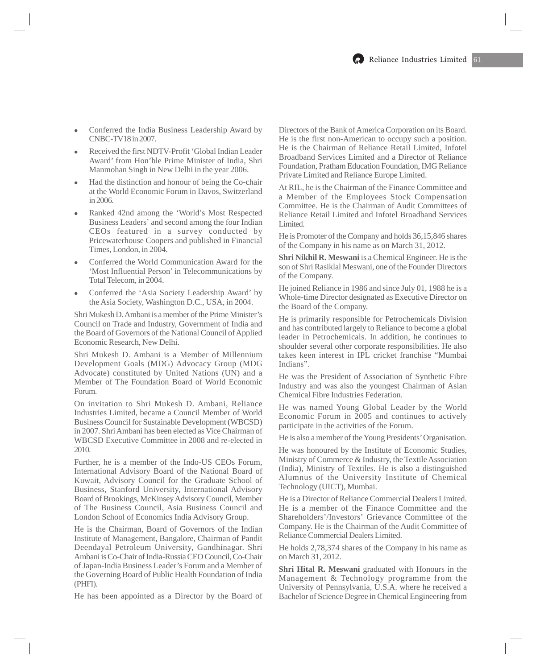- Conferred the India Business Leadership Award by CNBC-TV18 in 2007.
- Received the first NDTV-Profit 'Global Indian Leader Award' from Hon'ble Prime Minister of India, Shri Manmohan Singh in New Delhi in the year 2006.
- Had the distinction and honour of being the Co-chair at the World Economic Forum in Davos, Switzerland in 2006.
- Ranked 42nd among the 'World's Most Respected Business Leaders' and second among the four Indian CEOs featured in a survey conducted by Pricewaterhouse Coopers and published in Financial Times, London, in 2004.
- Conferred the World Communication Award for the 'Most Influential Person' in Telecommunications by Total Telecom, in 2004.
- Conferred the 'Asia Society Leadership Award' by the Asia Society, Washington D.C., USA, in 2004.

Shri Mukesh D. Ambani is a member of the Prime Minister's Council on Trade and Industry, Government of India and the Board of Governors of the National Council of Applied Economic Research, New Delhi.

Shri Mukesh D. Ambani is a Member of Millennium Development Goals (MDG) Advocacy Group (MDG Advocate) constituted by United Nations (UN) and a Member of The Foundation Board of World Economic Forum.

On invitation to Shri Mukesh D. Ambani, Reliance Industries Limited, became a Council Member of World Business Council for Sustainable Development (WBCSD) in 2007. Shri Ambani has been elected as Vice Chairman of WBCSD Executive Committee in 2008 and re-elected in 2010.

Further, he is a member of the Indo-US CEOs Forum, International Advisory Board of the National Board of Kuwait, Advisory Council for the Graduate School of Business, Stanford University, International Advisory Board of Brookings, McKinsey Advisory Council, Member of The Business Council, Asia Business Council and London School of Economics India Advisory Group.

He is the Chairman, Board of Governors of the Indian Institute of Management, Bangalore, Chairman of Pandit Deendayal Petroleum University, Gandhinagar. Shri Ambani is Co-Chair of India-Russia CEO Council, Co-Chair of Japan-India Business Leader's Forum and a Member of the Governing Board of Public Health Foundation of India (PHFI).

He has been appointed as a Director by the Board of

Directors of the Bank of America Corporation on its Board. He is the first non-American to occupy such a position. He is the Chairman of Reliance Retail Limited, Infotel Broadband Services Limited and a Director of Reliance Foundation, Pratham Education Foundation, IMG Reliance Private Limited and Reliance Europe Limited.

At RIL, he is the Chairman of the Finance Committee and a Member of the Employees Stock Compensation Committee. He is the Chairman of Audit Committees of Reliance Retail Limited and Infotel Broadband Services Limited.

He is Promoter of the Company and holds 36,15,846 shares of the Company in his name as on March 31, 2012.

**Shri Nikhil R. Meswani** is a Chemical Engineer. He is the son of Shri Rasiklal Meswani, one of the Founder Directors of the Company.

He joined Reliance in 1986 and since July 01, 1988 he is a Whole-time Director designated as Executive Director on the Board of the Company.

He is primarily responsible for Petrochemicals Division and has contributed largely to Reliance to become a global leader in Petrochemicals. In addition, he continues to shoulder several other corporate responsibilities. He also takes keen interest in IPL cricket franchise "Mumbai Indians".

He was the President of Association of Synthetic Fibre Industry and was also the youngest Chairman of Asian Chemical Fibre Industries Federation.

He was named Young Global Leader by the World Economic Forum in 2005 and continues to actively participate in the activities of the Forum.

He is also a member of the Young Presidents' Organisation.

He was honoured by the Institute of Economic Studies, Ministry of Commerce & Industry, the Textile Association (India), Ministry of Textiles. He is also a distinguished Alumnus of the University Institute of Chemical Technology (UICT), Mumbai.

He is a Director of Reliance Commercial Dealers Limited. He is a member of the Finance Committee and the Shareholders'/Investors' Grievance Committee of the Company. He is the Chairman of the Audit Committee of Reliance Commercial Dealers Limited.

He holds 2,78,374 shares of the Company in his name as on March 31, 2012.

**Shri Hital R. Meswani** graduated with Honours in the Management & Technology programme from the University of Pennsylvania, U.S.A. where he received a Bachelor of Science Degree in Chemical Engineering from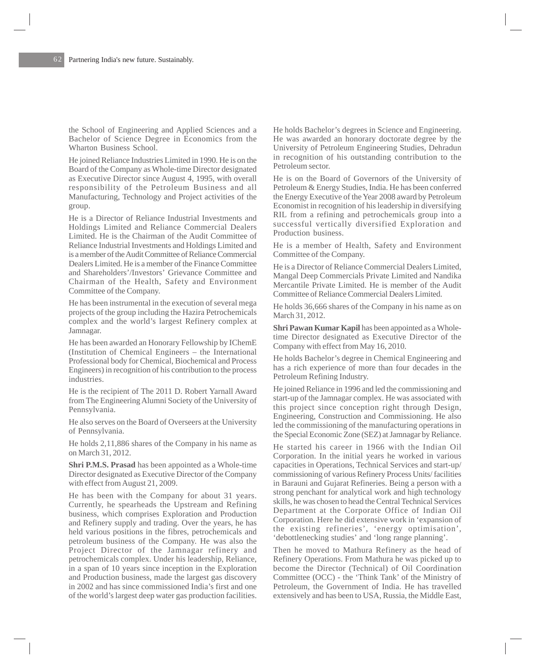the School of Engineering and Applied Sciences and a Bachelor of Science Degree in Economics from the Wharton Business School.

He joined Reliance Industries Limited in 1990. He is on the Board of the Company as Whole-time Director designated as Executive Director since August 4, 1995, with overall responsibility of the Petroleum Business and all Manufacturing, Technology and Project activities of the group.

He is a Director of Reliance Industrial Investments and Holdings Limited and Reliance Commercial Dealers Limited. He is the Chairman of the Audit Committee of Reliance Industrial Investments and Holdings Limited and is a member of the Audit Committee of Reliance Commercial Dealers Limited. He is a member of the Finance Committee and Shareholders'/Investors' Grievance Committee and Chairman of the Health, Safety and Environment Committee of the Company.

He has been instrumental in the execution of several mega projects of the group including the Hazira Petrochemicals complex and the world's largest Refinery complex at Jamnagar.

He has been awarded an Honorary Fellowship by IChemE (Institution of Chemical Engineers – the International Professional body for Chemical, Biochemical and Process Engineers) in recognition of his contribution to the process industries.

He is the recipient of The 2011 D. Robert Yarnall Award from The Engineering Alumni Society of the University of Pennsylvania.

He also serves on the Board of Overseers at the University of Pennsylvania.

He holds 2,11,886 shares of the Company in his name as on March 31, 2012.

**Shri P.M.S. Prasad** has been appointed as a Whole-time Director designated as Executive Director of the Company with effect from August 21, 2009.

He has been with the Company for about 31 years. Currently, he spearheads the Upstream and Refining business, which comprises Exploration and Production and Refinery supply and trading. Over the years, he has held various positions in the fibres, petrochemicals and petroleum business of the Company. He was also the Project Director of the Jamnagar refinery and petrochemicals complex. Under his leadership, Reliance, in a span of 10 years since inception in the Exploration and Production business, made the largest gas discovery in 2002 and has since commissioned India's first and one of the world's largest deep water gas production facilities.

He holds Bachelor's degrees in Science and Engineering. He was awarded an honorary doctorate degree by the University of Petroleum Engineering Studies, Dehradun in recognition of his outstanding contribution to the Petroleum sector.

He is on the Board of Governors of the University of Petroleum & Energy Studies, India. He has been conferred the Energy Executive of the Year 2008 award by Petroleum Economist in recognition of his leadership in diversifying RIL from a refining and petrochemicals group into a successful vertically diversified Exploration and Production business.

He is a member of Health, Safety and Environment Committee of the Company.

He is a Director of Reliance Commercial Dealers Limited, Mangal Deep Commercials Private Limited and Nandika Mercantile Private Limited. He is member of the Audit Committee of Reliance Commercial Dealers Limited.

He holds 36,666 shares of the Company in his name as on March 31, 2012.

**Shri Pawan Kumar Kapil** has been appointed as a Wholetime Director designated as Executive Director of the Company with effect from May 16, 2010.

He holds Bachelor's degree in Chemical Engineering and has a rich experience of more than four decades in the Petroleum Refining Industry.

He joined Reliance in 1996 and led the commissioning and start-up of the Jamnagar complex. He was associated with this project since conception right through Design, Engineering, Construction and Commissioning. He also led the commissioning of the manufacturing operations in the Special Economic Zone (SEZ) at Jamnagar by Reliance.

He started his career in 1966 with the Indian Oil Corporation. In the initial years he worked in various capacities in Operations, Technical Services and start-up/ commissioning of various Refinery Process Units/ facilities in Barauni and Gujarat Refineries. Being a person with a strong penchant for analytical work and high technology skills, he was chosen to head the Central Technical Services Department at the Corporate Office of Indian Oil Corporation. Here he did extensive work in 'expansion of the existing refineries', 'energy optimisation', 'debottlenecking studies' and 'long range planning'.

Then he moved to Mathura Refinery as the head of Refinery Operations. From Mathura he was picked up to become the Director (Technical) of Oil Coordination Committee (OCC) - the 'Think Tank' of the Ministry of Petroleum, the Government of India. He has travelled extensively and has been to USA, Russia, the Middle East,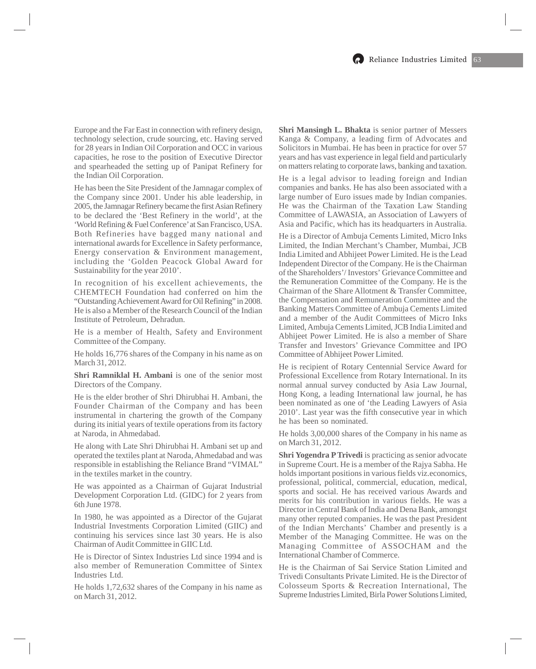Europe and the Far East in connection with refinery design, technology selection, crude sourcing, etc. Having served for 28 years in Indian Oil Corporation and OCC in various capacities, he rose to the position of Executive Director and spearheaded the setting up of Panipat Refinery for the Indian Oil Corporation.

He has been the Site President of the Jamnagar complex of the Company since 2001. Under his able leadership, in 2005, the Jamnagar Refinery became the first Asian Refinery to be declared the 'Best Refinery in the world', at the 'World Refining & Fuel Conference' at San Francisco, USA. Both Refineries have bagged many national and international awards for Excellence in Safety performance, Energy conservation & Environment management, including the 'Golden Peacock Global Award for Sustainability for the year 2010'.

In recognition of his excellent achievements, the CHEMTECH Foundation had conferred on him the "Outstanding Achievement Award for Oil Refining" in 2008. He is also a Member of the Research Council of the Indian Institute of Petroleum, Dehradun.

He is a member of Health, Safety and Environment Committee of the Company.

He holds 16,776 shares of the Company in his name as on March 31, 2012.

**Shri Ramniklal H. Ambani** is one of the senior most Directors of the Company.

He is the elder brother of Shri Dhirubhai H. Ambani, the Founder Chairman of the Company and has been instrumental in chartering the growth of the Company during its initial years of textile operations from its factory at Naroda, in Ahmedabad.

He along with Late Shri Dhirubhai H. Ambani set up and operated the textiles plant at Naroda, Ahmedabad and was responsible in establishing the Reliance Brand "VIMAL" in the textiles market in the country.

He was appointed as a Chairman of Gujarat Industrial Development Corporation Ltd. (GIDC) for 2 years from 6th June 1978.

In 1980, he was appointed as a Director of the Gujarat Industrial Investments Corporation Limited (GIIC) and continuing his services since last 30 years. He is also Chairman of Audit Committee in GIIC Ltd.

He is Director of Sintex Industries Ltd since 1994 and is also member of Remuneration Committee of Sintex Industries Ltd.

He holds 1,72,632 shares of the Company in his name as on March 31, 2012.

**Shri Mansingh L. Bhakta** is senior partner of Messers Kanga & Company, a leading firm of Advocates and Solicitors in Mumbai. He has been in practice for over 57 years and has vast experience in legal field and particularly on matters relating to corporate laws, banking and taxation.

He is a legal advisor to leading foreign and Indian companies and banks. He has also been associated with a large number of Euro issues made by Indian companies. He was the Chairman of the Taxation Law Standing Committee of LAWASIA, an Association of Lawyers of Asia and Pacific, which has its headquarters in Australia.

He is a Director of Ambuja Cements Limited, Micro Inks Limited, the Indian Merchant's Chamber, Mumbai, JCB India Limited and Abhijeet Power Limited. He is the Lead Independent Director of the Company. He is the Chairman of the Shareholders'/ Investors' Grievance Committee and the Remuneration Committee of the Company. He is the Chairman of the Share Allotment & Transfer Committee, the Compensation and Remuneration Committee and the Banking Matters Committee of Ambuja Cements Limited and a member of the Audit Committees of Micro Inks Limited, Ambuja Cements Limited, JCB India Limited and Abhijeet Power Limited. He is also a member of Share Transfer and Investors' Grievance Committee and IPO Committee of Abhijeet Power Limited.

He is recipient of Rotary Centennial Service Award for Professional Excellence from Rotary International. In its normal annual survey conducted by Asia Law Journal, Hong Kong, a leading International law journal, he has been nominated as one of 'the Leading Lawyers of Asia 2010'. Last year was the fifth consecutive year in which he has been so nominated.

He holds 3,00,000 shares of the Company in his name as on March 31, 2012.

**Shri Yogendra P Trivedi** is practicing as senior advocate in Supreme Court. He is a member of the Rajya Sabha. He holds important positions in various fields viz.economics, professional, political, commercial, education, medical, sports and social. He has received various Awards and merits for his contribution in various fields. He was a Director in Central Bank of India and Dena Bank, amongst many other reputed companies. He was the past President of the Indian Merchants' Chamber and presently is a Member of the Managing Committee. He was on the Managing Committee of ASSOCHAM and the International Chamber of Commerce.

He is the Chairman of Sai Service Station Limited and Trivedi Consultants Private Limited. He is the Director of Colosseum Sports & Recreation International, The Supreme Industries Limited, Birla Power Solutions Limited,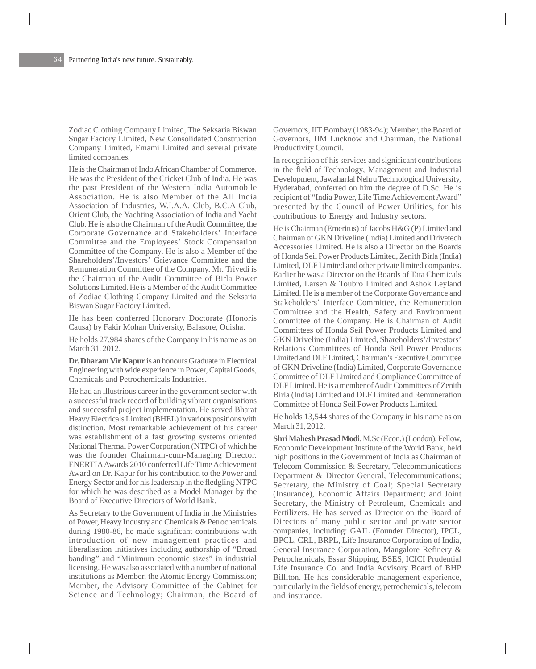Zodiac Clothing Company Limited, The Seksaria Biswan Sugar Factory Limited, New Consolidated Construction Company Limited, Emami Limited and several private limited companies.

He is the Chairman of Indo African Chamber of Commerce. He was the President of the Cricket Club of India. He was the past President of the Western India Automobile Association. He is also Member of the All India Association of Industries, W.I.A.A. Club, B.C.A Club, Orient Club, the Yachting Association of India and Yacht Club. He is also the Chairman of the Audit Committee, the Corporate Governance and Stakeholders' Interface Committee and the Employees' Stock Compensation Committee of the Company. He is also a Member of the Shareholders'/Investors' Grievance Committee and the Remuneration Committee of the Company. Mr. Trivedi is the Chairman of the Audit Committee of Birla Power Solutions Limited. He is a Member of the Audit Committee of Zodiac Clothing Company Limited and the Seksaria Biswan Sugar Factory Limited.

He has been conferred Honorary Doctorate (Honoris Causa) by Fakir Mohan University, Balasore, Odisha.

He holds 27,984 shares of the Company in his name as on March 31, 2012.

**Dr. Dharam Vir Kapur** is an honours Graduate in Electrical Engineering with wide experience in Power, Capital Goods, Chemicals and Petrochemicals Industries.

He had an illustrious career in the government sector with a successful track record of building vibrant organisations and successful project implementation. He served Bharat Heavy Electricals Limited (BHEL) in various positions with distinction. Most remarkable achievement of his career was establishment of a fast growing systems oriented National Thermal Power Corporation (NTPC) of which he was the founder Chairman-cum-Managing Director. ENERTIA Awards 2010 conferred Life Time Achievement Award on Dr. Kapur for his contribution to the Power and Energy Sector and for his leadership in the fledgling NTPC for which he was described as a Model Manager by the Board of Executive Directors of World Bank.

As Secretary to the Government of India in the Ministries of Power, Heavy Industry and Chemicals & Petrochemicals during 1980-86, he made significant contributions with introduction of new management practices and liberalisation initiatives including authorship of "Broad banding" and "Minimum economic sizes" in industrial licensing. He was also associated with a number of national institutions as Member, the Atomic Energy Commission; Member, the Advisory Committee of the Cabinet for Science and Technology; Chairman, the Board of Governors, IIT Bombay (1983-94); Member, the Board of Governors, IIM Lucknow and Chairman, the National Productivity Council.

In recognition of his services and significant contributions in the field of Technology, Management and Industrial Development, Jawaharlal Nehru Technological University, Hyderabad, conferred on him the degree of D.Sc. He is recipient of "India Power, Life Time Achievement Award" presented by the Council of Power Utilities, for his contributions to Energy and Industry sectors.

He is Chairman (Emeritus) of Jacobs H&G (P) Limited and Chairman of GKN Driveline (India) Limited and Drivetech Accessories Limited. He is also a Director on the Boards of Honda Seil Power Products Limited, Zenith Birla (India) Limited, DLF Limited and other private limited companies. Earlier he was a Director on the Boards of Tata Chemicals Limited, Larsen & Toubro Limited and Ashok Leyland Limited. He is a member of the Corporate Governance and Stakeholders' Interface Committee, the Remuneration Committee and the Health, Safety and Environment Committee of the Company. He is Chairman of Audit Committees of Honda Seil Power Products Limited and GKN Driveline (India) Limited, Shareholders'/Investors' Relations Committees of Honda Seil Power Products Limited and DLF Limited, Chairman's Executive Committee of GKN Driveline (India) Limited, Corporate Governance Committee of DLF Limited and Compliance Committee of DLF Limited. He is a member of Audit Committees of Zenith Birla (India) Limited and DLF Limited and Remuneration Committee of Honda Seil Power Products Limited.

He holds 13,544 shares of the Company in his name as on March 31, 2012.

**Shri Mahesh Prasad Modi**, M.Sc (Econ.) (London), Fellow, Economic Development Institute of the World Bank, held high positions in the Government of India as Chairman of Telecom Commission & Secretary, Telecommunications Department & Director General, Telecommunications; Secretary, the Ministry of Coal; Special Secretary (Insurance), Economic Affairs Department; and Joint Secretary, the Ministry of Petroleum, Chemicals and Fertilizers. He has served as Director on the Board of Directors of many public sector and private sector companies, including: GAIL (Founder Director), IPCL, BPCL, CRL, BRPL, Life Insurance Corporation of India, General Insurance Corporation, Mangalore Refinery & Petrochemicals, Essar Shipping, BSES, ICICI Prudential Life Insurance Co. and India Advisory Board of BHP Billiton. He has considerable management experience, particularly in the fields of energy, petrochemicals, telecom and insurance.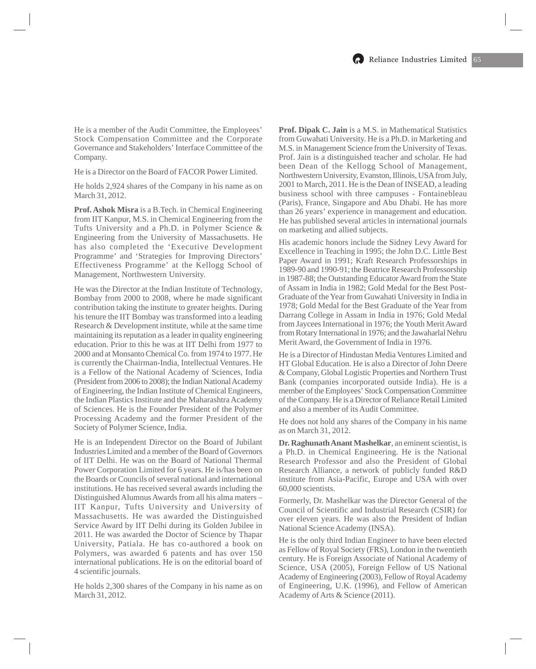He is a member of the Audit Committee, the Employees' Stock Compensation Committee and the Corporate Governance and Stakeholders' Interface Committee of the Company.

He is a Director on the Board of FACOR Power Limited.

He holds 2,924 shares of the Company in his name as on March 31, 2012.

**Prof. Ashok Misra** is a B.Tech. in Chemical Engineering from IIT Kanpur, M.S. in Chemical Engineering from the Tufts University and a Ph.D. in Polymer Science & Engineering from the University of Massachusetts. He has also completed the 'Executive Development Programme' and 'Strategies for Improving Directors' Effectiveness Programme' at the Kellogg School of Management, Northwestern University.

He was the Director at the Indian Institute of Technology, Bombay from 2000 to 2008, where he made significant contribution taking the institute to greater heights. During his tenure the IIT Bombay was transformed into a leading Research & Development institute, while at the same time maintaining its reputation as a leader in quality engineering education. Prior to this he was at IIT Delhi from 1977 to 2000 and at Monsanto Chemical Co. from 1974 to 1977. He is currently the Chairman-India, Intellectual Ventures. He is a Fellow of the National Academy of Sciences, India (President from 2006 to 2008); the Indian National Academy of Engineering, the Indian Institute of Chemical Engineers, the Indian Plastics Institute and the Maharashtra Academy of Sciences. He is the Founder President of the Polymer Processing Academy and the former President of the Society of Polymer Science, India.

He is an Independent Director on the Board of Jubilant Industries Limited and a member of the Board of Governors of IIT Delhi. He was on the Board of National Thermal Power Corporation Limited for 6 years. He is/has been on the Boards or Councils of several national and international institutions. He has received several awards including the Distinguished Alumnus Awards from all his alma maters – IIT Kanpur, Tufts University and University of Massachusetts. He was awarded the Distinguished Service Award by IIT Delhi during its Golden Jubilee in 2011. He was awarded the Doctor of Science by Thapar University, Patiala. He has co-authored a book on Polymers, was awarded 6 patents and has over 150 international publications. He is on the editorial board of 4 scientific journals.

He holds 2,300 shares of the Company in his name as on March 31, 2012.

**Prof. Dipak C. Jain** is a M.S. in Mathematical Statistics from Guwahati University. He is a Ph.D. in Marketing and M.S. in Management Science from the University of Texas. Prof. Jain is a distinguished teacher and scholar. He had been Dean of the Kellogg School of Management, Northwestern University, Evanston, Illinois, USA from July, 2001 to March, 2011. He is the Dean of INSEAD, a leading business school with three campuses - Fontainebleau (Paris), France, Singapore and Abu Dhabi. He has more than 26 years' experience in management and education. He has published several articles in international journals on marketing and allied subjects.

His academic honors include the Sidney Levy Award for Excellence in Teaching in 1995; the John D.C. Little Best Paper Award in 1991; Kraft Research Professorships in 1989-90 and 1990-91; the Beatrice Research Professorship in 1987-88; the Outstanding Educator Award from the State of Assam in India in 1982; Gold Medal for the Best Post-Graduate of the Year from Guwahati University in India in 1978; Gold Medal for the Best Graduate of the Year from Darrang College in Assam in India in 1976; Gold Medal from Jaycees International in 1976; the Youth Merit Award from Rotary International in 1976; and the Jawaharlal Nehru Merit Award, the Government of India in 1976.

He is a Director of Hindustan Media Ventures Limited and HT Global Education. He is also a Director of John Deere & Company, Global Logistic Properties and Northern Trust Bank (companies incorporated outside India). He is a member of the Employees' Stock Compensation Committee of the Company. He is a Director of Reliance Retail Limited and also a member of its Audit Committee.

He does not hold any shares of the Company in his name as on March 31, 2012.

**Dr. Raghunath Anant Mashelkar**, an eminent scientist, is a Ph.D. in Chemical Engineering. He is the National Research Professor and also the President of Global Research Alliance, a network of publicly funded R&D institute from Asia-Pacific, Europe and USA with over 60,000 scientists.

Formerly, Dr. Mashelkar was the Director General of the Council of Scientific and Industrial Research (CSIR) for over eleven years. He was also the President of Indian National Science Academy (INSA).

He is the only third Indian Engineer to have been elected as Fellow of Royal Society (FRS), London in the twentieth century. He is Foreign Associate of National Academy of Science, USA (2005), Foreign Fellow of US National Academy of Engineering (2003), Fellow of Royal Academy of Engineering, U.K. (1996), and Fellow of American Academy of Arts & Science (2011).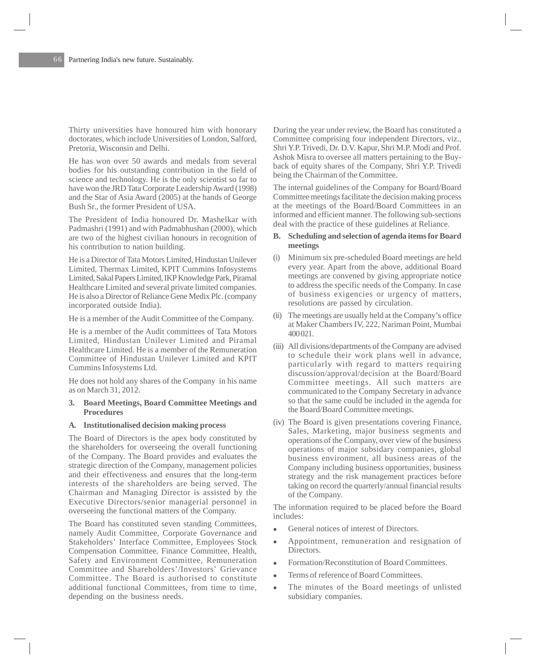Thirty universities have honoured him with honorary doctorates, which include Universities of London, Salford, Pretoria, Wisconsin and Delhi.

He has won over 50 awards and medals from several bodies for his outstanding contribution in the field of science and technology. He is the only scientist so far to have won the JRD Tata Corporate Leadership Award (1998) and the Star of Asia Award (2005) at the hands of George Bush Sr., the former President of USA.

The President of India honoured Dr. Mashelkar with Padmashri (1991) and with Padmabhushan (2000), which are two of the highest civilian honours in recognition of his contribution to nation building.

He is a Director of Tata Motors Limited, Hindustan Unilever Limited, Thermax Limited, KPIT Cummins Infosystems Limited, Sakal Papers Limited, IKP Knowledge Park, Piramal Healthcare Limited and several private limited companies. He is also a Director of Reliance Gene Medix Plc. (company incorporated outside India).

He is a member of the Audit Committee of the Company.

He is a member of the Audit committees of Tata Motors Limited, Hindustan Unilever Limited and Piramal Healthcare Limited. He is a member of the Remuneration Committee of Hindustan Unilever Limited and KPIT Cummins Infosystems Ltd.

He does not hold any shares of the Company in his name as on March 31, 2012.

#### **3. Board Meetings, Board Committee Meetings and Procedures**

#### **A. Institutionalised decision making process**

The Board of Directors is the apex body constituted by the shareholders for overseeing the overall functioning of the Company. The Board provides and evaluates the strategic direction of the Company, management policies and their effectiveness and ensures that the long-term interests of the shareholders are being served. The Chairman and Managing Director is assisted by the Executive Directors/senior managerial personnel in overseeing the functional matters of the Company.

The Board has constituted seven standing Committees, namely Audit Committee, Corporate Governance and Stakeholders' Interface Committee, Employees Stock Compensation Committee, Finance Committee, Health, Safety and Environment Committee, Remuneration Committee and Shareholders'/Investors' Grievance Committee. The Board is authorised to constitute additional functional Committees, from time to time, depending on the business needs.

During the year under review, the Board has constituted a Committee comprising four independent Directors, viz., Shri Y.P. Trivedi, Dr. D.V. Kapur, Shri M.P. Modi and Prof. Ashok Misra to oversee all matters pertaining to the Buyback of equity shares of the Company, Shri Y.P. Trivedi being the Chairman of the Committee.

The internal guidelines of the Company for Board/Board Committee meetings facilitate the decision making process at the meetings of the Board/Board Committees in an informed and efficient manner. The following sub-sections deal with the practice of these guidelines at Reliance.

#### **B. Scheduling and selection of agenda items for Board meetings**

- (i) Minimum six pre-scheduled Board meetings are held every year. Apart from the above, additional Board meetings are convened by giving appropriate notice to address the specific needs of the Company. In case of business exigencies or urgency of matters, resolutions are passed by circulation.
- The meetings are usually held at the Company's office at Maker Chambers IV, 222, Nariman Point, Mumbai 400 021.
- (iii) All divisions/departments of the Company are advised to schedule their work plans well in advance, particularly with regard to matters requiring discussion/approval/decision at the Board/Board Committee meetings. All such matters are communicated to the Company Secretary in advance so that the same could be included in the agenda for the Board/Board Committee meetings.
- (iv) The Board is given presentations covering Finance, Sales, Marketing, major business segments and operations of the Company, over view of the business operations of major subsidary companies, global business environment, all business areas of the Company including business opportunities, business strategy and the risk management practices before taking on record the quarterly/annual financial results of the Company.

The information required to be placed before the Board includes:

- General notices of interest of Directors.
- Appointment, remuneration and resignation of Directors.
- Formation/Reconstitution of Board Committees.
- Terms of reference of Board Committees.
- The minutes of the Board meetings of unlisted subsidiary companies.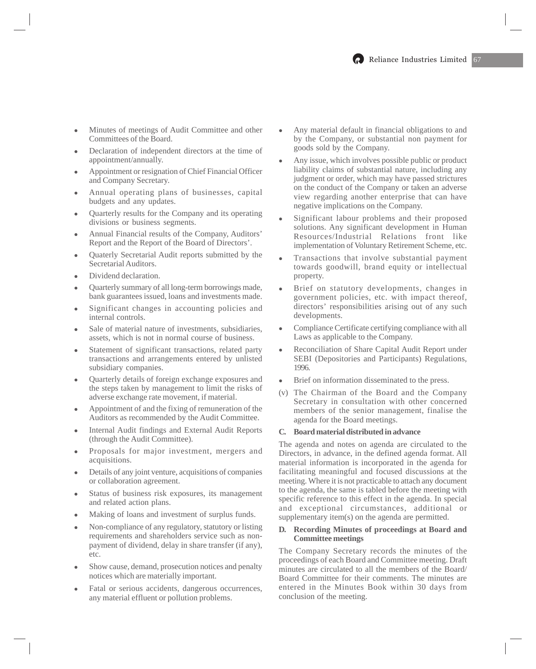- Minutes of meetings of Audit Committee and other Committees of the Board.
- Declaration of independent directors at the time of appointment/annually.
- Appointment or resignation of Chief Financial Officer and Company Secretary.
- Annual operating plans of businesses, capital budgets and any updates.
- Quarterly results for the Company and its operating divisions or business segments.
- Annual Financial results of the Company, Auditors' Report and the Report of the Board of Directors'.
- Quaterly Secretarial Audit reports submitted by the Secretarial Auditors.
- Dividend declaration.
- Quarterly summary of all long-term borrowings made, bank guarantees issued, loans and investments made.
- Significant changes in accounting policies and internal controls.
- Sale of material nature of investments, subsidiaries, assets, which is not in normal course of business.
- Statement of significant transactions, related party transactions and arrangements entered by unlisted subsidiary companies.
- Quarterly details of foreign exchange exposures and the steps taken by management to limit the risks of adverse exchange rate movement, if material.
- Appointment of and the fixing of remuneration of the Auditors as recommended by the Audit Committee.
- Internal Audit findings and External Audit Reports (through the Audit Committee).
- Proposals for major investment, mergers and acquisitions.
- Details of any joint venture, acquisitions of companies or collaboration agreement.
- Status of business risk exposures, its management and related action plans.
- Making of loans and investment of surplus funds.
- Non-compliance of any regulatory, statutory or listing requirements and shareholders service such as nonpayment of dividend, delay in share transfer (if any), etc.
- Show cause, demand, prosecution notices and penalty notices which are materially important.
- Fatal or serious accidents, dangerous occurrences, any material effluent or pollution problems.
- Any material default in financial obligations to and by the Company, or substantial non payment for goods sold by the Company.
- Any issue, which involves possible public or product liability claims of substantial nature, including any judgment or order, which may have passed strictures on the conduct of the Company or taken an adverse view regarding another enterprise that can have negative implications on the Company.
- Significant labour problems and their proposed solutions. Any significant development in Human Resources/Industrial Relations front like implementation of Voluntary Retirement Scheme, etc.
- Transactions that involve substantial payment towards goodwill, brand equity or intellectual property.
- Brief on statutory developments, changes in government policies, etc. with impact thereof, directors' responsibilities arising out of any such developments.
- Compliance Certificate certifying compliance with all Laws as applicable to the Company.
- Reconciliation of Share Capital Audit Report under SEBI (Depositories and Participants) Regulations, 1996.
- Brief on information disseminated to the press.
- (v) The Chairman of the Board and the Company Secretary in consultation with other concerned members of the senior management, finalise the agenda for the Board meetings.

### **C. Board material distributed in advance**

The agenda and notes on agenda are circulated to the Directors, in advance, in the defined agenda format. All material information is incorporated in the agenda for facilitating meaningful and focused discussions at the meeting. Where it is not practicable to attach any document to the agenda, the same is tabled before the meeting with specific reference to this effect in the agenda. In special and exceptional circumstances, additional or supplementary item(s) on the agenda are permitted.

#### **D. Recording Minutes of proceedings at Board and Committee meetings**

The Company Secretary records the minutes of the proceedings of each Board and Committee meeting. Draft minutes are circulated to all the members of the Board/ Board Committee for their comments. The minutes are entered in the Minutes Book within 30 days from conclusion of the meeting.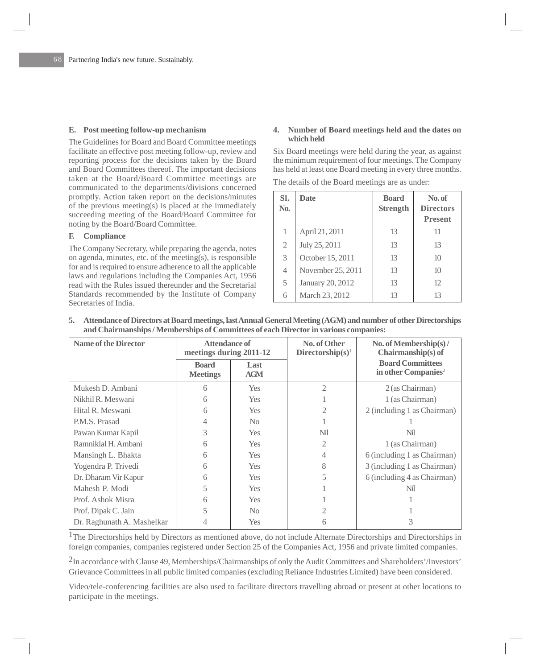#### **E. Post meeting follow-up mechanism**

The Guidelines for Board and Board Committee meetings facilitate an effective post meeting follow-up, review and reporting process for the decisions taken by the Board and Board Committees thereof. The important decisions taken at the Board/Board Committee meetings are communicated to the departments/divisions concerned promptly. Action taken report on the decisions/minutes of the previous meeting(s) is placed at the immediately succeeding meeting of the Board/Board Committee for noting by the Board/Board Committee.

# **F. Compliance**

The Company Secretary, while preparing the agenda, notes on agenda, minutes, etc. of the meeting(s), is responsible for and is required to ensure adherence to all the applicable laws and regulations including the Companies Act, 1956 read with the Rules issued thereunder and the Secretarial Standards recommended by the Institute of Company Secretaries of India.

#### **4. Number of Board meetings held and the dates on which held**

Six Board meetings were held during the year, as against the minimum requirement of four meetings. The Company has held at least one Board meeting in every three months.

| SI.<br>No.     | <b>Date</b>       | <b>Board</b><br><b>Strength</b> | No. of<br><b>Directors</b> |
|----------------|-------------------|---------------------------------|----------------------------|
|                |                   |                                 | <b>Present</b>             |
| 1              | April 21, 2011    | 13                              | 11                         |
| 2              | July 25, 2011     | 13                              | 13                         |
| 3              | October 15, 2011  | 13                              | 10                         |
| $\overline{4}$ | November 25, 2011 | 13                              | 10                         |
| 5              | January 20, 2012  | 13                              | 12                         |
| 6              | March 23, 2012    | 13                              | 13                         |

The details of the Board meetings are as under:

**5. Attendance of Directors at Board meetings, last Annual General Meeting (AGM) and number of other Directorships and Chairmanships / Memberships of Committees of each Director in various companies:**

| <b>Name of the Director</b> | <b>Attendance of</b><br>meetings during 2011-12 |                    | No. of Other<br>Directorship(s) <sup>1</sup> | No. of Membership(s)/<br>$Chairmanship(s)$ of              |
|-----------------------------|-------------------------------------------------|--------------------|----------------------------------------------|------------------------------------------------------------|
|                             | <b>Board</b><br><b>Meetings</b>                 | Last<br><b>AGM</b> |                                              | <b>Board Committees</b><br>in other Companies <sup>2</sup> |
| Mukesh D. Ambani            | 6                                               | <b>Yes</b>         | $\overline{2}$                               | 2 (as Chairman)                                            |
| Nikhil R. Meswani           | 6                                               | Yes                |                                              | 1 (as Chairman)                                            |
| Hital R. Meswani            | 6                                               | <b>Yes</b>         |                                              | 2 (including 1 as Chairman)                                |
| P.M.S. Prasad               | 4                                               | N <sub>0</sub>     |                                              |                                                            |
| Pawan Kumar Kapil           | 3                                               | Yes                | Nil                                          | Nil                                                        |
| Ramniklal H. Ambani         | 6                                               | <b>Yes</b>         | 2                                            | 1 (as Chairman)                                            |
| Mansingh L. Bhakta          | 6                                               | Yes                | 4                                            | 6 (including 1 as Chairman)                                |
| Yogendra P. Trivedi         | 6                                               | <b>Yes</b>         | 8                                            | 3 (including 1 as Chairman)                                |
| Dr. Dharam Vir Kapur        | 6                                               | <b>Yes</b>         |                                              | 6 (including 4 as Chairman)                                |
| Mahesh P. Modi              | 5                                               | Yes                |                                              | Nil                                                        |
| Prof. Ashok Misra           | 6                                               | <b>Yes</b>         |                                              |                                                            |
| Prof. Dipak C. Jain         |                                                 | N <sub>0</sub>     |                                              |                                                            |
| Dr. Raghunath A. Mashelkar  |                                                 | Yes                |                                              |                                                            |

 $1$ The Directorships held by Directors as mentioned above, do not include Alternate Directorships and Directorships in foreign companies, companies registered under Section 25 of the Companies Act, 1956 and private limited companies.

2In accordance with Clause 49, Memberships/Chairmanships of only the Audit Committees and Shareholders'/Investors' Grievance Committees in all public limited companies (excluding Reliance Industries Limited) have been considered.

Video/tele-conferencing facilities are also used to facilitate directors travelling abroad or present at other locations to participate in the meetings.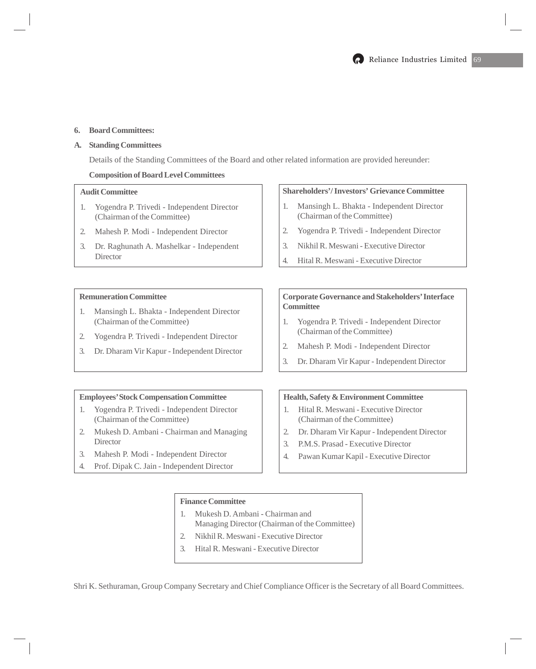

# **6. Board Committees:**

**A. Standing Committees**

Details of the Standing Committees of the Board and other related information are provided hereunder:

# **Composition of Board Level Committees**

### **Audit Committee**

- 1. Yogendra P. Trivedi Independent Director (Chairman of the Committee)
- 2. Mahesh P. Modi Independent Director
- 3. Dr. Raghunath A. Mashelkar Independent **Director**

### **Remuneration Committee**

- 1. Mansingh L. Bhakta Independent Director (Chairman of the Committee)
- 2. Yogendra P. Trivedi Independent Director
- 3. Dr. Dharam Vir Kapur Independent Director

### **Employees' Stock Compensation Committee**

- 1. Yogendra P. Trivedi Independent Director (Chairman of the Committee)
- 2. Mukesh D. Ambani Chairman and Managing **Director**
- 3. Mahesh P. Modi Independent Director
- 4. Prof. Dipak C. Jain Independent Director

### **Shareholders'/ Investors' Grievance Committee**

- 1. Mansingh L. Bhakta Independent Director (Chairman of the Committee)
- 2. Yogendra P. Trivedi Independent Director
- 3. Nikhil R. Meswani Executive Director
- 4. Hital R. Meswani Executive Director

# **Corporate Governance and Stakeholders' Interface Committee**

- 1. Yogendra P. Trivedi Independent Director (Chairman of the Committee)
- 2. Mahesh P. Modi Independent Director
- 3. Dr. Dharam Vir Kapur Independent Director

### **Health, Safety & Environment Committee**

- 1. Hital R. Meswani Executive Director (Chairman of the Committee)
- 2. Dr. Dharam Vir Kapur Independent Director
- 3. P.M.S. Prasad Executive Director
- 4. Pawan Kumar Kapil Executive Director

### **Finance Committee**

- 1. Mukesh D. Ambani Chairman and Managing Director (Chairman of the Committee)
- 2. Nikhil R. Meswani Executive Director
- 3. Hital R. Meswani Executive Director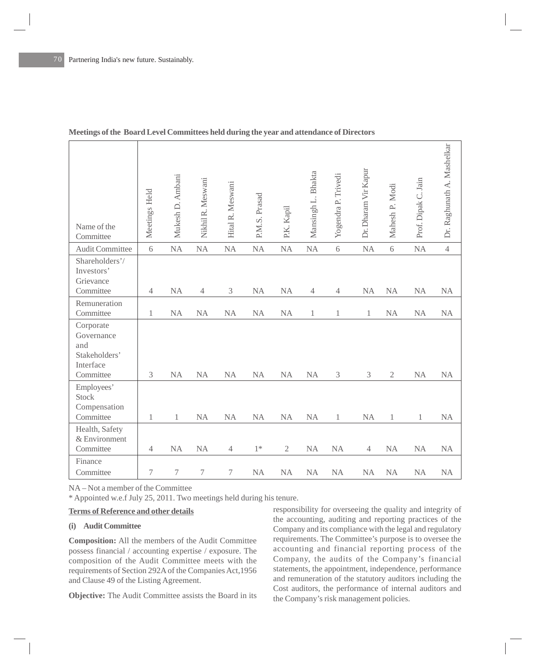| Name of the<br>Committee                                                  | Meetings Held                                                                                               | Mukesh D. Ambani | Nikhil R. Meswani | Hital R. Meswani | P.M.S. Prasad | P.K. Kapil     | Mansingh L. Bhakta | Yogendra P. Trivedi | Dr. Dharam Vir Kapur | Mahesh P. Modi | Prof. Dipak C. Jain | Dr. Raghunath A. Mashelkar |
|---------------------------------------------------------------------------|-------------------------------------------------------------------------------------------------------------|------------------|-------------------|------------------|---------------|----------------|--------------------|---------------------|----------------------|----------------|---------------------|----------------------------|
| <b>Audit Committee</b>                                                    | $6\,$                                                                                                       | <b>NA</b>        | <b>NA</b>         | <b>NA</b>        | <b>NA</b>     | $\rm NA$       | <b>NA</b>          | 6                   | <b>NA</b>            | 6              | NA                  | $\overline{4}$             |
| Shareholders'/<br>Investors'<br>Grievance<br>Committee                    | 4                                                                                                           | <b>NA</b>        | $\overline{4}$    | $\mathfrak{Z}$   | $\rm NA$      | <b>NA</b>      | $\overline{4}$     | 4                   | <b>NA</b>            | NA             | NA                  | <b>NA</b>                  |
| Remuneration<br>Committee                                                 | $\,1$                                                                                                       | <b>NA</b>        | NA                | <b>NA</b>        | $\rm NA$      | NA             | $\,1$              | $\,1$               | 1                    | NA             | <b>NA</b>           | $\rm NA$                   |
| Corporate<br>Governance<br>and<br>Stakeholders'<br>Interface<br>Committee | 3                                                                                                           | <b>NA</b>        | NA                | NA               | NA            | NA             | NA                 | 3                   | $\mathfrak{Z}$       | $\overline{2}$ | <b>NA</b>           | NA                         |
| Employees'<br><b>Stock</b><br>Compensation<br>Committee                   | 1                                                                                                           | 1                | NA                | NA               | NA            | NA             | NA                 | 1                   | NA                   | 1              | 1                   | NA                         |
| Health, Safety<br>& Environment<br>Committee                              | 4                                                                                                           | <b>NA</b>        | NA                | $\overline{4}$   | $1*$          | $\mathfrak{2}$ | $\rm NA$           | <b>NA</b>           | $\overline{4}$       | NA             | <b>NA</b>           | NA                         |
| Finance<br>Committee                                                      | 7                                                                                                           | 7                | $\tau$            | $\tau$           | NA            | NA             | NA                 | <b>NA</b>           | <b>NA</b>            | NA             | NA                  | NA                         |
|                                                                           | NA - Not a member of the Committee<br>* Appointed w.e.f July 25, 2011. Two meetings held during his tenure. |                  |                   |                  |               |                |                    |                     |                      |                |                     |                            |

# **Meetings of the Board Level Committees held during the year and attendance of Directors**

# **Terms of Reference and other details**

# **(i) Audit Committee**

**Composition:** All the members of the Audit Committee possess financial / accounting expertise / exposure. The composition of the Audit Committee meets with the requirements of Section 292A of the Companies Act,1956 and Clause 49 of the Listing Agreement.

**Objective:** The Audit Committee assists the Board in its

responsibility for overseeing the quality and integrity of the accounting, auditing and reporting practices of the Company and its compliance with the legal and regulatory requirements. The Committee's purpose is to oversee the accounting and financial reporting process of the Company, the audits of the Company's financial statements, the appointment, independence, performance and remuneration of the statutory auditors including the Cost auditors, the performance of internal auditors and the Company's risk management policies.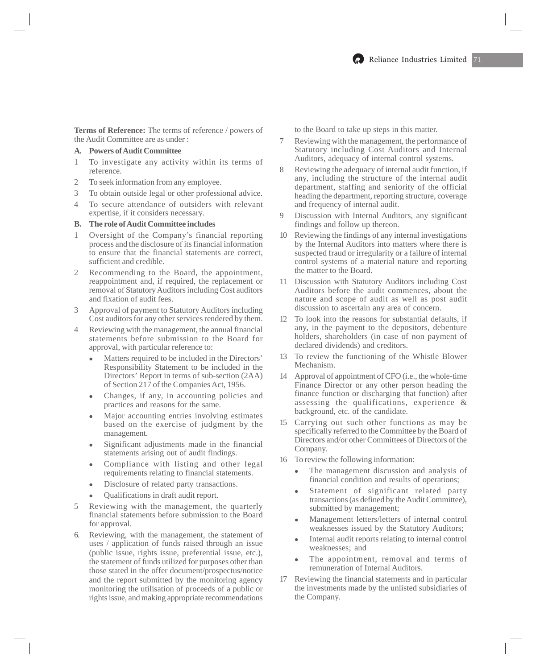**Terms of Reference:** The terms of reference / powers of the Audit Committee are as under :

#### **A. Powers of Audit Committee**

- 1 To investigate any activity within its terms of reference.
- 2 To seek information from any employee.
- 3 To obtain outside legal or other professional advice.
- 4 To secure attendance of outsiders with relevant expertise, if it considers necessary.

#### **B. The role of Audit Committee includes**

- 1 Oversight of the Company's financial reporting process and the disclosure of its financial information to ensure that the financial statements are correct, sufficient and credible.
- 2 Recommending to the Board, the appointment, reappointment and, if required, the replacement or removal of Statutory Auditors including Cost auditors and fixation of audit fees.
- 3 Approval of payment to Statutory Auditors including Cost auditors for any other services rendered by them.
- 4 Reviewing with the management, the annual financial statements before submission to the Board for approval, with particular reference to:
	- Matters required to be included in the Directors' Responsibility Statement to be included in the Directors' Report in terms of sub-section (2AA) of Section 217 of the Companies Act, 1956.
	- Changes, if any, in accounting policies and practices and reasons for the same.
	- Major accounting entries involving estimates based on the exercise of judgment by the management.
	- Significant adjustments made in the financial statements arising out of audit findings.
	- Compliance with listing and other legal requirements relating to financial statements.
	- Disclosure of related party transactions.
	- Qualifications in draft audit report.
- 5 Reviewing with the management, the quarterly financial statements before submission to the Board for approval.
- 6. Reviewing, with the management, the statement of uses / application of funds raised through an issue (public issue, rights issue, preferential issue, etc.), the statement of funds utilized for purposes other than those stated in the offer document/prospectus/notice and the report submitted by the monitoring agency monitoring the utilisation of proceeds of a public or rights issue, and making appropriate recommendations

to the Board to take up steps in this matter.

- 7 Reviewing with the management, the performance of Statutory including Cost Auditors and Internal Auditors, adequacy of internal control systems.
- 8 Reviewing the adequacy of internal audit function, if any, including the structure of the internal audit department, staffing and seniority of the official heading the department, reporting structure, coverage and frequency of internal audit.
- 9 Discussion with Internal Auditors, any significant findings and follow up thereon.
- 10 Reviewing the findings of any internal investigations by the Internal Auditors into matters where there is suspected fraud or irregularity or a failure of internal control systems of a material nature and reporting the matter to the Board.
- 11 Discussion with Statutory Auditors including Cost Auditors before the audit commences, about the nature and scope of audit as well as post audit discussion to ascertain any area of concern.
- 12 To look into the reasons for substantial defaults, if any, in the payment to the depositors, debenture holders, shareholders (in case of non payment of declared dividends) and creditors.
- 13 To review the functioning of the Whistle Blower Mechanism.
- 14 Approval of appointment of CFO (i.e., the whole-time Finance Director or any other person heading the finance function or discharging that function) after assessing the qualifications, experience & background, etc. of the candidate.
- 15 Carrying out such other functions as may be specifically referred to the Committee by the Board of Directors and/or other Committees of Directors of the Company.
- 16 To review the following information:
	- The management discussion and analysis of financial condition and results of operations;
	- Statement of significant related party transactions (as defined by the Audit Committee), submitted by management;
	- Management letters/letters of internal control weaknesses issued by the Statutory Auditors;
	- Internal audit reports relating to internal control weaknesses; and
	- The appointment, removal and terms of remuneration of Internal Auditors.
- 17 Reviewing the financial statements and in particular the investments made by the unlisted subsidiaries of the Company.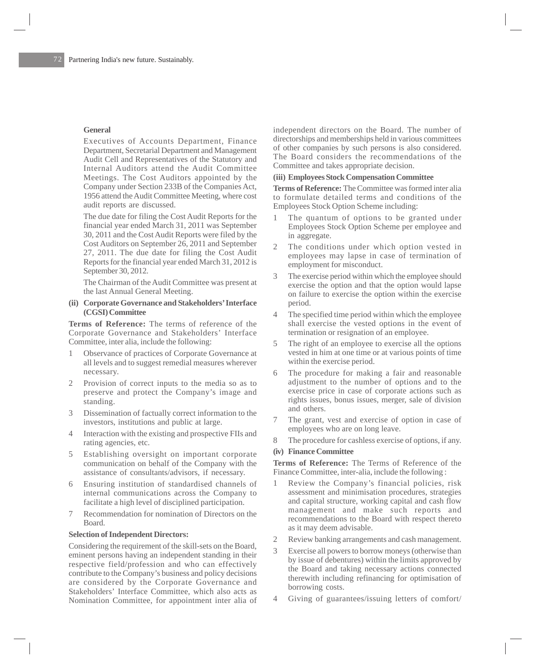#### **General**

Executives of Accounts Department, Finance Department, Secretarial Department and Management Audit Cell and Representatives of the Statutory and Internal Auditors attend the Audit Committee Meetings. The Cost Auditors appointed by the Company under Section 233B of the Companies Act, 1956 attend the Audit Committee Meeting, where cost audit reports are discussed.

The due date for filing the Cost Audit Reports for the financial year ended March 31, 2011 was September 30, 2011 and the Cost Audit Reports were filed by the Cost Auditors on September 26, 2011 and September 27, 2011. The due date for filing the Cost Audit Reports for the financial year ended March 31, 2012 is September 30, 2012.

The Chairman of the Audit Committee was present at the last Annual General Meeting.

#### **(ii) Corporate Governance and Stakeholders' Interface (CGSI) Committee**

**Terms of Reference:** The terms of reference of the Corporate Governance and Stakeholders' Interface Committee, inter alia, include the following:

- 1 Observance of practices of Corporate Governance at all levels and to suggest remedial measures wherever necessary.
- 2 Provision of correct inputs to the media so as to preserve and protect the Company's image and standing.
- 3 Dissemination of factually correct information to the investors, institutions and public at large.
- 4 Interaction with the existing and prospective FIIs and rating agencies, etc.
- 5 Establishing oversight on important corporate communication on behalf of the Company with the assistance of consultants/advisors, if necessary.
- 6 Ensuring institution of standardised channels of internal communications across the Company to facilitate a high level of disciplined participation.
- 7 Recommendation for nomination of Directors on the Board.

#### **Selection of Independent Directors:**

Considering the requirement of the skill-sets on the Board, eminent persons having an independent standing in their respective field/profession and who can effectively contribute to the Company's business and policy decisions are considered by the Corporate Governance and Stakeholders' Interface Committee, which also acts as Nomination Committee, for appointment inter alia of independent directors on the Board. The number of directorships and memberships held in various committees of other companies by such persons is also considered. The Board considers the recommendations of the Committee and takes appropriate decision.

#### **(iii) Employees Stock Compensation Committee**

**Terms of Reference:** The Committee was formed inter alia to formulate detailed terms and conditions of the Employees Stock Option Scheme including:

- 1 The quantum of options to be granted under Employees Stock Option Scheme per employee and in aggregate.
- 2 The conditions under which option vested in employees may lapse in case of termination of employment for misconduct.
- 3 The exercise period within which the employee should exercise the option and that the option would lapse on failure to exercise the option within the exercise period.
- 4 The specified time period within which the employee shall exercise the vested options in the event of termination or resignation of an employee.
- 5 The right of an employee to exercise all the options vested in him at one time or at various points of time within the exercise period.
- 6 The procedure for making a fair and reasonable adjustment to the number of options and to the exercise price in case of corporate actions such as rights issues, bonus issues, merger, sale of division and others.
- 7 The grant, vest and exercise of option in case of employees who are on long leave.
- 8 The procedure for cashless exercise of options, if any.

#### **(iv) Finance Committee**

**Terms of Reference:** The Terms of Reference of the Finance Committee, inter-alia, include the following :

- 1 Review the Company's financial policies, risk assessment and minimisation procedures, strategies and capital structure, working capital and cash flow management and make such reports and recommendations to the Board with respect thereto as it may deem advisable.
- 2 Review banking arrangements and cash management.
- 3 Exercise all powers to borrow moneys (otherwise than by issue of debentures) within the limits approved by the Board and taking necessary actions connected therewith including refinancing for optimisation of borrowing costs.
- 4 Giving of guarantees/issuing letters of comfort/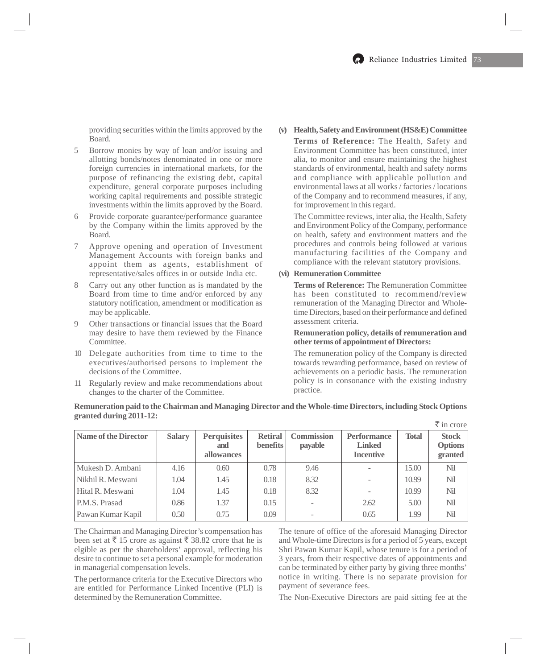providing securities within the limits approved by the Board.

- 5 Borrow monies by way of loan and/or issuing and allotting bonds/notes denominated in one or more foreign currencies in international markets, for the purpose of refinancing the existing debt, capital expenditure, general corporate purposes including working capital requirements and possible strategic investments within the limits approved by the Board.
- 6 Provide corporate guarantee/performance guarantee by the Company within the limits approved by the Board.
- 7 Approve opening and operation of Investment Management Accounts with foreign banks and appoint them as agents, establishment of representative/sales offices in or outside India etc.
- Carry out any other function as is mandated by the Board from time to time and/or enforced by any statutory notification, amendment or modification as may be applicable.
- 9 Other transactions or financial issues that the Board may desire to have them reviewed by the Finance Committee.
- 10 Delegate authorities from time to time to the executives/authorised persons to implement the decisions of the Committee.
- 11 Regularly review and make recommendations about changes to the charter of the Committee.

### **(v) Health, Safety and Environment (HS&E) Committee**

**Terms of Reference:** The Health, Safety and Environment Committee has been constituted, inter alia, to monitor and ensure maintaining the highest standards of environmental, health and safety norms and compliance with applicable pollution and environmental laws at all works / factories / locations of the Company and to recommend measures, if any, for improvement in this regard.

The Committee reviews, inter alia, the Health, Safety and Environment Policy of the Company, performance on health, safety and environment matters and the procedures and controls being followed at various manufacturing facilities of the Company and compliance with the relevant statutory provisions.

### **(vi) Remuneration Committee**

**Terms of Reference:** The Remuneration Committee has been constituted to recommend/review remuneration of the Managing Director and Wholetime Directors, based on their performance and defined assessment criteria.

#### **Remuneration policy, details of remuneration and other terms of appointment of Directors:**

The remuneration policy of the Company is directed towards rewarding performance, based on review of achievements on a periodic basis. The remuneration policy is in consonance with the existing industry practice.

#### **Remuneration paid to the Chairman and Managing Director and the Whole-time Directors, including Stock Options granted during 2011-12:**  $\bar{\tau}$  in crore

| <b>Name of the Director</b> | <b>Salary</b> | <b>Perquisites</b><br>and<br>allowances | <b>Retiral</b><br><b>benefits</b> | <b>Commission</b><br>payable | Performance<br><b>Linked</b><br><b>Incentive</b> | <b>Total</b> | VIII CIUIT<br><b>Stock</b><br><b>Options</b><br>granted |
|-----------------------------|---------------|-----------------------------------------|-----------------------------------|------------------------------|--------------------------------------------------|--------------|---------------------------------------------------------|
| Mukesh D. Ambani            | 4.16          | 0.60                                    | 0.78                              | 9.46                         |                                                  | 15.00        | Nil                                                     |
| Nikhil R. Meswani           | 1.04          | 1.45                                    | 0.18                              | 8.32                         |                                                  | 10.99        | Nil                                                     |
| Hital R. Meswani            | 1.04          | 1.45                                    | 0.18                              | 8.32                         |                                                  | 10.99        | Nil                                                     |
| P.M.S. Prasad               | 0.86          | 1.37                                    | 0.15                              |                              | 2.62                                             | 5.00         | Nil                                                     |
| Pawan Kumar Kapil           | 0.50          | 0.75                                    | 0.09                              |                              | 0.65                                             | 1.99         | Nil                                                     |

The Chairman and Managing Director's compensation has been set at  $\bar{\tau}$  15 crore as against  $\bar{\tau}$  38.82 crore that he is elgible as per the shareholders' approval, reflecting his desire to continue to set a personal example for moderation in managerial compensation levels.

The performance criteria for the Executive Directors who are entitled for Performance Linked Incentive (PLI) is determined by the Remuneration Committee.

The tenure of office of the aforesaid Managing Director and Whole-time Directors is for a period of 5 years, except Shri Pawan Kumar Kapil, whose tenure is for a period of 3 years, from their respective dates of appointments and can be terminated by either party by giving three months' notice in writing. There is no separate provision for payment of severance fees.

The Non-Executive Directors are paid sitting fee at the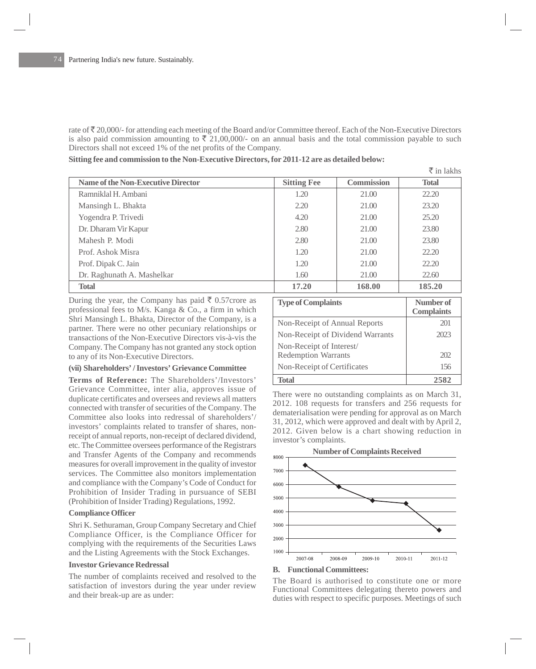rate of  $\bar{\tau}$  20,000/- for attending each meeting of the Board and/or Committee thereof. Each of the Non-Executive Directors is also paid commission amounting to  $\bar{\ell}$  21,00,000/- on an annual basis and the total commission payable to such Directors shall not exceed 1% of the net profits of the Company.

**Sitting fee and commission to the Non-Executive Directors, for 2011-12 are as detailed below:**

 $\bar{\bar{\tau}}$  in lakhs

| Name of the Non-Executive Director | <b>Sitting Fee</b> | <b>Commission</b> | <b>Total</b> |
|------------------------------------|--------------------|-------------------|--------------|
| Ramniklal H. Ambani                | 1.20               | 21.00             | 22.20        |
| Mansingh L. Bhakta                 | 2.20               | 21.00             | 23.20        |
| Yogendra P. Trivedi                | 4.20               | 21.00             | 25.20        |
| Dr. Dharam Vir Kapur               | 2.80               | 21.00             | 23.80        |
| Mahesh P. Modi                     | 2.80               | 21.00             | 23.80        |
| Prof. Ashok Misra                  | 1.20               | 21.00             | 22.20        |
| Prof. Dipak C. Jain                | 1.20               | 21.00             | 22.20        |
| Dr. Raghunath A. Mashelkar         | 1.60               | 21.00             | 22.60        |
| <b>Total</b>                       | 17.20              | 168.00            | 185.20       |

During the year, the Company has paid  $\bar{\tau}$  0.57crore as professional fees to M/s. Kanga & Co., a firm in which Shri Mansingh L. Bhakta, Director of the Company, is a partner. There were no other pecuniary relationships or transactions of the Non-Executive Directors vis-à-vis the Company. The Company has not granted any stock option to any of its Non-Executive Directors.

#### **(vii) Shareholders' / Investors' Grievance Committee**

**Terms of Reference:** The Shareholders'/Investors' Grievance Committee, inter alia, approves issue of duplicate certificates and oversees and reviews all matters connected with transfer of securities of the Company. The Committee also looks into redressal of shareholders'/ investors' complaints related to transfer of shares, nonreceipt of annual reports, non-receipt of declared dividend, etc. The Committee oversees performance of the Registrars and Transfer Agents of the Company and recommends measures for overall improvement in the quality of investor services. The Committee also monitors implementation and compliance with the Company's Code of Conduct for Prohibition of Insider Trading in pursuance of SEBI (Prohibition of Insider Trading) Regulations, 1992.

### **Compliance Officer**

Shri K. Sethuraman, Group Company Secretary and Chief Compliance Officer, is the Compliance Officer for complying with the requirements of the Securities Laws and the Listing Agreements with the Stock Exchanges.

#### **Investor Grievance Redressal**

The number of complaints received and resolved to the satisfaction of investors during the year under review and their break-up are as under:

| <b>Type of Complaints</b>                              | Number of<br><b>Complaints</b> |
|--------------------------------------------------------|--------------------------------|
| Non-Receipt of Annual Reports                          | 201                            |
| Non-Receipt of Dividend Warrants                       | 2023                           |
| Non-Receipt of Interest/<br><b>Redemption Warrants</b> | 202                            |
| Non-Receipt of Certificates                            | 156                            |
| Total                                                  | 2582                           |

There were no outstanding complaints as on March 31, 2012. 108 requests for transfers and 256 requests for dematerialisation were pending for approval as on March 31, 2012, which were approved and dealt with by April 2, 2012. Given below is a chart showing reduction in investor's complaints.



#### **B. Functional Committees:**

The Board is authorised to constitute one or more Functional Committees delegating thereto powers and duties with respect to specific purposes. Meetings of such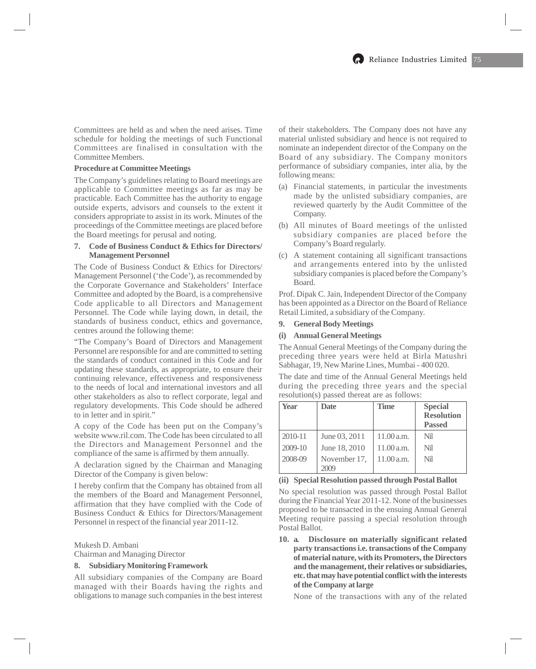Committees are held as and when the need arises. Time schedule for holding the meetings of such Functional Committees are finalised in consultation with the Committee Members.

#### **Procedure at Committee Meetings**

The Company's guidelines relating to Board meetings are applicable to Committee meetings as far as may be practicable. Each Committee has the authority to engage outside experts, advisors and counsels to the extent it considers appropriate to assist in its work. Minutes of the proceedings of the Committee meetings are placed before the Board meetings for perusal and noting.

#### **7. Code of Business Conduct & Ethics for Directors/ Management Personnel**

The Code of Business Conduct & Ethics for Directors/ Management Personnel ('the Code'), as recommended by the Corporate Governance and Stakeholders' Interface Committee and adopted by the Board, is a comprehensive Code applicable to all Directors and Management Personnel. The Code while laying down, in detail, the standards of business conduct, ethics and governance, centres around the following theme:

"The Company's Board of Directors and Management Personnel are responsible for and are committed to setting the standards of conduct contained in this Code and for updating these standards, as appropriate, to ensure their continuing relevance, effectiveness and responsiveness to the needs of local and international investors and all other stakeholders as also to reflect corporate, legal and regulatory developments. This Code should be adhered to in letter and in spirit."

A copy of the Code has been put on the Company's website www.ril.com. The Code has been circulated to all the Directors and Management Personnel and the compliance of the same is affirmed by them annually.

A declaration signed by the Chairman and Managing Director of the Company is given below:

I hereby confirm that the Company has obtained from all the members of the Board and Management Personnel, affirmation that they have complied with the Code of Business Conduct & Ethics for Directors/Management Personnel in respect of the financial year 2011-12.

Mukesh D. Ambani

Chairman and Managing Director

#### **8. Subsidiary Monitoring Framework**

All subsidiary companies of the Company are Board managed with their Boards having the rights and obligations to manage such companies in the best interest of their stakeholders. The Company does not have any material unlisted subsidiary and hence is not required to nominate an independent director of the Company on the Board of any subsidiary. The Company monitors performance of subsidiary companies, inter alia, by the following means:

- (a) Financial statements, in particular the investments made by the unlisted subsidiary companies, are reviewed quarterly by the Audit Committee of the Company.
- (b) All minutes of Board meetings of the unlisted subsidiary companies are placed before the Company's Board regularly.
- (c) A statement containing all significant transactions and arrangements entered into by the unlisted subsidiary companies is placed before the Company's Board.

Prof. Dipak C. Jain, Independent Director of the Company has been appointed as a Director on the Board of Reliance Retail Limited, a subsidiary of the Company.

#### **9. General Body Meetings**

#### **(i) Annual General Meetings**

The Annual General Meetings of the Company during the preceding three years were held at Birla Matushri Sabhagar, 19, New Marine Lines, Mumbai - 400 020.

The date and time of the Annual General Meetings held during the preceding three years and the special resolution(s) passed thereat are as follows:

| Year    | Date                 | <b>Time</b> | <b>Special</b><br><b>Resolution</b><br><b>Passed</b> |
|---------|----------------------|-------------|------------------------------------------------------|
| 2010-11 | June 03, 2011        | 11.00 a.m.  | Nil                                                  |
| 2009-10 | June 18, 2010        | 11.00 a.m.  | Nil                                                  |
| 2008-09 | November 17.<br>2009 | 11.00 a.m.  | Nil                                                  |

#### **(ii) Special Resolution passed through Postal Ballot**

No special resolution was passed through Postal Ballot during the Financial Year 2011-12. None of the businesses proposed to be transacted in the ensuing Annual General Meeting require passing a special resolution through Postal Ballot.

**10. a. Disclosure on materially significant related party transactions i.e. transactions of the Company of material nature, with its Promoters, the Directors and the management, their relatives or subsidiaries, etc. that may have potential conflict with the interests of the Company at large**

None of the transactions with any of the related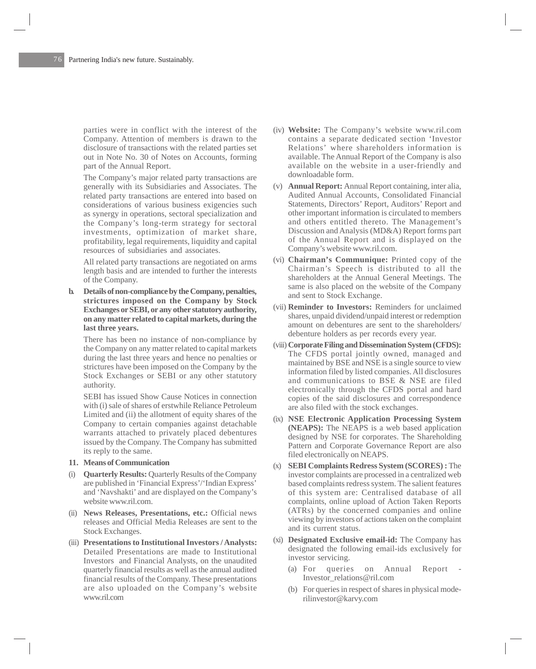parties were in conflict with the interest of the Company. Attention of members is drawn to the disclosure of transactions with the related parties set out in Note No. 30 of Notes on Accounts, forming part of the Annual Report.

The Company's major related party transactions are generally with its Subsidiaries and Associates. The related party transactions are entered into based on considerations of various business exigencies such as synergy in operations, sectoral specialization and the Company's long-term strategy for sectoral investments, optimization of market share, profitability, legal requirements, liquidity and capital resources of subsidiaries and associates.

All related party transactions are negotiated on arms length basis and are intended to further the interests of the Company.

**b. Details of non-compliance by the Company, penalties, strictures imposed on the Company by Stock Exchanges or SEBI, or any other statutory authority, on any matter related to capital markets, during the last three years.**

There has been no instance of non-compliance by the Company on any matter related to capital markets during the last three years and hence no penalties or strictures have been imposed on the Company by the Stock Exchanges or SEBI or any other statutory authority.

SEBI has issued Show Cause Notices in connection with (i) sale of shares of erstwhile Reliance Petroleum Limited and (ii) the allotment of equity shares of the Company to certain companies against detachable warrants attached to privately placed debentures issued by the Company. The Company has submitted its reply to the same.

#### **11. Means of Communication**

- **Quarterly Results: Quarterly Results of the Company** are published in 'Financial Express'/'Indian Express' and 'Navshakti' and are displayed on the Company's website www.ril.com.
- (ii) **News Releases, Presentations, etc.:** Official news releases and Official Media Releases are sent to the Stock Exchanges.
- (iii) **Presentations to Institutional Investors / Analysts:** Detailed Presentations are made to Institutional Investors and Financial Analysts, on the unaudited quarterly financial results as well as the annual audited financial results of the Company. These presentations are also uploaded on the Company's website www.ril.com
- (iv) **Website:** The Company's website www.ril.com contains a separate dedicated section 'Investor Relations' where shareholders information is available. The Annual Report of the Company is also available on the website in a user-friendly and downloadable form.
- (v) **Annual Report:** Annual Report containing, inter alia, Audited Annual Accounts, Consolidated Financial Statements, Directors' Report, Auditors' Report and other important information is circulated to members and others entitled thereto. The Management's Discussion and Analysis (MD&A) Report forms part of the Annual Report and is displayed on the Company's website www.ril.com.
- (vi) **Chairman's Communique:** Printed copy of the Chairman's Speech is distributed to all the shareholders at the Annual General Meetings. The same is also placed on the website of the Company and sent to Stock Exchange.
- (vii) **Reminder to Investors:** Reminders for unclaimed shares, unpaid dividend/unpaid interest or redemption amount on debentures are sent to the shareholders/ debenture holders as per records every year.
- (viii) **Corporate Filing and Dissemination System (CFDS):** The CFDS portal jointly owned, managed and maintained by BSE and NSE is a single source to view information filed by listed companies. All disclosures and communications to BSE & NSE are filed electronically through the CFDS portal and hard copies of the said disclosures and correspondence are also filed with the stock exchanges.
- (ix) **NSE Electronic Application Processing System (NEAPS):** The NEAPS is a web based application designed by NSE for corporates. The Shareholding Pattern and Corporate Governance Report are also filed electronically on NEAPS.
- **SEBI Complaints Redress System (SCORES):** The investor complaints are processed in a centralized web based complaints redress system. The salient features of this system are: Centralised database of all complaints, online upload of Action Taken Reports (ATRs) by the concerned companies and online viewing by investors of actions taken on the complaint and its current status.
- (xi) **Designated Exclusive email-id:** The Company has designated the following email-ids exclusively for investor servicing.
	- (a) For queries on Annual Report Investor\_relations@ril.com
	- (b) For queries in respect of shares in physical moderilinvestor@karvy.com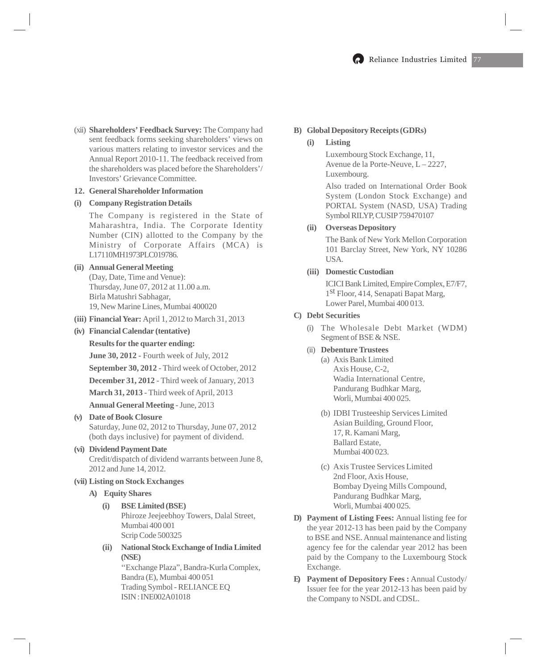(xii) **Shareholders' Feedback Survey:** The Company had sent feedback forms seeking shareholders' views on various matters relating to investor services and the Annual Report 2010-11. The feedback received from the shareholders was placed before the Shareholders'/ Investors' Grievance Committee.

# **12. General Shareholder Information**

# **(i) Company Registration Details**

The Company is registered in the State of Maharashtra, India. The Corporate Identity Number (CIN) allotted to the Company by the Ministry of Corporate Affairs (MCA) is L17110MH1973PLC019786.

- **(ii) Annual General Meeting** (Day, Date, Time and Venue): Thursday, June 07, 2012 at 11.00 a.m. Birla Matushri Sabhagar, 19, New Marine Lines, Mumbai 400020
- **(iii) Financial Year:** April 1, 2012 to March 31, 2013
- **(iv) Financial Calendar (tentative)**

### **Results for the quarter ending:**

**June 30, 2012 -** Fourth week of July, 2012

**September 30, 2012** - Third week of October, 2012

**December 31, 2012** - Third week of January, 2013

**March 31, 2013** - Third week of April, 2013

**Annual General Meeting** - June, 2013

# **(v) Date of Book Closure**

Saturday, June 02, 2012 to Thursday, June 07, 2012 (both days inclusive) for payment of dividend.

**(vi) Dividend Payment Date**

Credit/dispatch of dividend warrants between June 8, 2012 and June 14, 2012.

# **(vii) Listing on Stock Exchanges**

# **A) Equity Shares**

- **(i) BSE Limited (BSE)** Phiroze Jeejeebhoy Towers, Dalal Street, Mumbai 400 001 Scrip Code 500325
- **(ii) National Stock Exchange of India Limited (NSE)** ''Exchange Plaza", Bandra-Kurla Complex,

Bandra (E), Mumbai 400 051 Trading Symbol - RELIANCE EQ ISIN : INE002A01018

#### **B) Global Depository Receipts (GDRs)**

# **(i) Listing**

Luxembourg Stock Exchange, 11, Avenue de la Porte-Neuve, L – 2227, Luxembourg.

Also traded on International Order Book System (London Stock Exchange) and PORTAL System (NASD, USA) Trading Symbol RILYP, CUSIP 759470107

**(ii) Overseas Depository**

The Bank of New York Mellon Corporation 101 Barclay Street, New York, NY 10286 USA.

**(iii) Domestic Custodian**

ICICI Bank Limited, Empire Complex, E7/F7, 1st Floor, 414, Senapati Bapat Marg, Lower Parel, Mumbai 400 013.

# **C) Debt Securities**

- (i) The Wholesale Debt Market (WDM) Segment of BSE & NSE.
- (ii) **Debenture Trustees**
	- (a) Axis Bank Limited Axis House, C-2, Wadia International Centre, Pandurang Budhkar Marg, Worli, Mumbai 400 025.
	- (b) IDBI Trusteeship Services Limited Asian Building, Ground Floor, 17, R. Kamani Marg, Ballard Estate, Mumbai 400 023.
	- (c) Axis Trustee Services Limited 2nd Floor, Axis House, Bombay Dyeing Mills Compound, Pandurang Budhkar Marg, Worli, Mumbai 400 025.
- **D) Payment of Listing Fees:** Annual listing fee for the year 2012-13 has been paid by the Company to BSE and NSE. Annual maintenance and listing agency fee for the calendar year 2012 has been paid by the Company to the Luxembourg Stock Exchange.
- **E) Payment of Depository Fees :** Annual Custody/ Issuer fee for the year 2012-13 has been paid by the Company to NSDL and CDSL.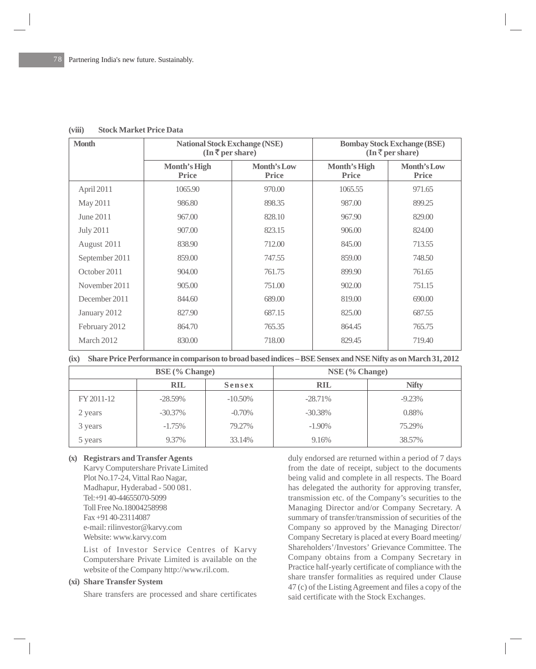**(viii) Stock Market Price Data**

| <b>Month</b>     | <b>National Stock Exchange (NSE)</b><br>$(\text{In} \bar{z})$ per share) |                             | <b>Bombay Stock Exchange (BSE)</b><br>$(\text{In} \bar{z} \text{ per share})$ |                             |
|------------------|--------------------------------------------------------------------------|-----------------------------|-------------------------------------------------------------------------------|-----------------------------|
|                  | Month's High<br>Price                                                    | Month's Low<br><b>Price</b> | Month's High<br>Price                                                         | Month's Low<br><b>Price</b> |
| April 2011       | 1065.90                                                                  | 970.00                      | 1065.55                                                                       | 971.65                      |
| May 2011         | 986.80                                                                   | 898.35                      | 987.00                                                                        | 899.25                      |
| June 2011        | 967.00                                                                   | 828.10                      | 967.90                                                                        | 829.00                      |
| <b>July 2011</b> | 907.00                                                                   | 823.15                      | 906.00                                                                        | 824.00                      |
| August 2011      | 838.90                                                                   | 712.00                      | 845.00                                                                        | 713.55                      |
| September 2011   | 859.00                                                                   | 747.55                      | 859.00                                                                        | 748.50                      |
| October 2011     | 904.00                                                                   | 761.75                      | 899.90                                                                        | 761.65                      |
| November 2011    | 905.00                                                                   | 751.00                      | 902.00                                                                        | 751.15                      |
| December 2011    | 844.60                                                                   | 689.00                      | 819.00                                                                        | 690.00                      |
| January 2012     | 827.90                                                                   | 687.15                      | 825.00                                                                        | 687.55                      |
| February 2012    | 864.70                                                                   | 765.35                      | 864.45                                                                        | 765.75                      |
| March 2012       | 830.00                                                                   | 718.00                      | 829.45                                                                        | 719.40                      |

**(ix) Share Price Performance in comparison to broad based indices – BSE Sensex and NSE Nifty as on March 31, 2012**

| <b>BSE</b> (% Change) |            |            | NSE (% Change) |              |  |
|-----------------------|------------|------------|----------------|--------------|--|
|                       | <b>RIL</b> | Sensex     | <b>RIL</b>     | <b>Nifty</b> |  |
| FY 2011-12            | $-28.59\%$ | $-10.50\%$ | $-28.71\%$     | $-9.23\%$    |  |
| 2 years               | $-30.37\%$ | $-0.70\%$  | $-30.38\%$     | 0.88%        |  |
| 3 years               | $-1.75\%$  | 79.27%     | $-1.90\%$      | 75.29%       |  |
| 5 years               | 9.37%      | 33.14%     | 9.16%          | 38.57%       |  |

# **(x) Registrars and Transfer Agents**

Karvy Computershare Private Limited Plot No.17-24, Vittal Rao Nagar, Madhapur, Hyderabad - 500 081. Tel:+91 40-44655070-5099 Toll Free No.18004258998 Fax +91 40-23114087 e-mail: rilinvestor@karvy.com Website: www.karvy.com

List of Investor Service Centres of Karvy Computershare Private Limited is available on the website of the Company http://www.ril.com.

#### **(xi) Share Transfer System**

Share transfers are processed and share certificates

duly endorsed are returned within a period of 7 days from the date of receipt, subject to the documents being valid and complete in all respects. The Board has delegated the authority for approving transfer, transmission etc. of the Company's securities to the Managing Director and/or Company Secretary. A summary of transfer/transmission of securities of the Company so approved by the Managing Director/ Company Secretary is placed at every Board meeting/ Shareholders'/Investors' Grievance Committee. The Company obtains from a Company Secretary in Practice half-yearly certificate of compliance with the share transfer formalities as required under Clause 47 (c) of the Listing Agreement and files a copy of the said certificate with the Stock Exchanges.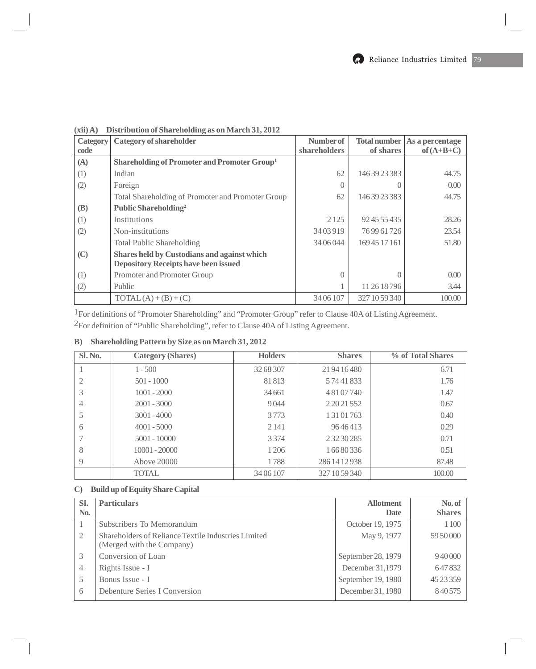| Category<br>code | <b>Category of shareholder</b>                                                             | Number of<br>shareholders | of shares        | Total number   As a percentage<br>of $(A+B+C)$ |
|------------------|--------------------------------------------------------------------------------------------|---------------------------|------------------|------------------------------------------------|
| (A)              | Shareholding of Promoter and Promoter Group <sup>1</sup>                                   |                           |                  |                                                |
| (1)              | Indian                                                                                     | 62                        | 146 39 23 383    | 44.75                                          |
| (2)              | Foreign                                                                                    | $\Omega$                  |                  | 0.00                                           |
|                  | Total Shareholding of Promoter and Promoter Group                                          | 62                        | 1463923383       | 44.75                                          |
| (B)              | <b>Public Shareholding<sup>2</sup></b>                                                     |                           |                  |                                                |
| (1)              | Institutions                                                                               | 2 1 2 5                   | 92 45 55 435     | 28.26                                          |
| (2)              | Non-institutions                                                                           | 34 03 919                 | 769961726        | 23.54                                          |
|                  | Total Public Shareholding                                                                  | 34 06 044                 | 1694517161       | 51.80                                          |
| (C)              | Shares held by Custodians and against which<br><b>Depository Receipts have been issued</b> |                           |                  |                                                |
| (1)              | Promoter and Promoter Group                                                                | $\Omega$                  | $\left( \right)$ | 0.00                                           |
| (2)              | Public                                                                                     |                           | 11 26 18 79 6    | 3.44                                           |
|                  | $TOTAL(A) + (B) + (C)$                                                                     | 34 06 107                 | 327 10 59 340    | 100.00                                         |

**(xii) A) Distribution of Shareholding as on March 31, 2012**

1For definitions of "Promoter Shareholding" and "Promoter Group" refer to Clause 40A of Listing Agreement.

2For definition of "Public Shareholding", refer to Clause 40A of Listing Agreement.

| Sl. No. | <b>Category (Shares)</b> | <b>Holders</b> | <b>Shares</b>   | % of Total Shares |
|---------|--------------------------|----------------|-----------------|-------------------|
|         | $1 - 500$                | 32 68 307      | 21 94 16 480    | 6.71              |
| 2       | $501 - 1000$             | 81813          | 57441833        | 1.76              |
| 3       | $1001 - 2000$            | 34 6 6 1       | 4 81 07 740     | 1.47              |
| 4       | $2001 - 3000$            | 9044           | 2 2 0 2 1 5 5 2 | 0.67              |
| 5       | $3001 - 4000$            | 3773           | 1 3 1 0 1 7 6 3 | 0.40              |
| 6       | $4001 - 5000$            | 2 1 4 1        | 9646413         | 0.29              |
|         | $5001 - 10000$           | 3374           | 2 3 2 3 0 2 8 5 | 0.71              |
| 8       | $10001 - 20000$          | 1 2 0 6        | 16680336        | 0.51              |
| 9       | Above 20000              | 1788           | 286 14 12 938   | 87.48             |
|         | <b>TOTAL</b>             | 34 06 107      | 327 10 59 340   | 100.00            |

# **B) Shareholding Pattern by Size as on March 31, 2012**

# **C) Build up of Equity Share Capital**

| SI.<br>N <sub>0</sub> | <b>Particulars</b>                                                               | <b>Allotment</b><br>Date | No. of<br><b>Shares</b> |
|-----------------------|----------------------------------------------------------------------------------|--------------------------|-------------------------|
|                       | Subscribers To Memorandum                                                        | October 19, 1975         | 1 100                   |
| $\mathfrak{D}$        | Shareholders of Reliance Textile Industries Limited<br>(Merged with the Company) | May 9, 1977              | 59 50 000               |
| 3                     | Conversion of Loan                                                               | September 28, 1979       | 940000                  |
| $\overline{4}$        | Rights Issue - I                                                                 | December 31,1979         | 647832                  |
|                       | Bonus Issue - I                                                                  | September 19, 1980       | 45 23 359               |
| 6                     | Debenture Series I Conversion                                                    | December 31, 1980        | 840575                  |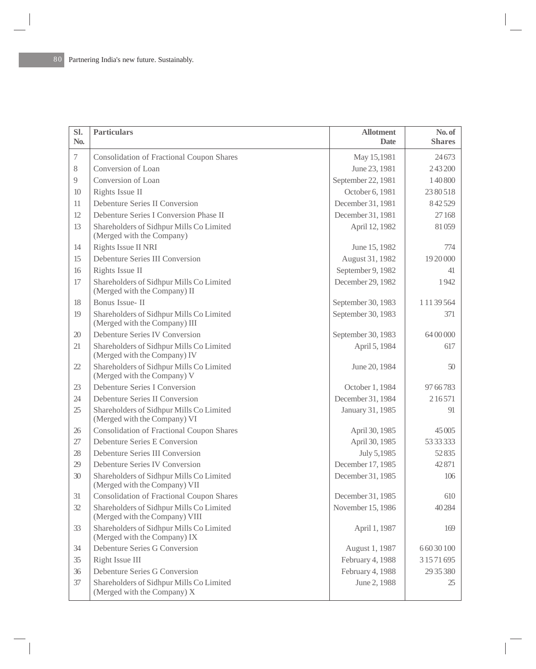| Sl.<br>No. | <b>Particulars</b>                                                         | <b>Allotment</b><br><b>Date</b> | No. of<br><b>Shares</b> |
|------------|----------------------------------------------------------------------------|---------------------------------|-------------------------|
| $\tau$     | <b>Consolidation of Fractional Coupon Shares</b>                           | May 15,1981                     | 24673                   |
| 8          | Conversion of Loan                                                         | June 23, 1981                   | 243200                  |
| 9          | Conversion of Loan                                                         | September 22, 1981              | 140800                  |
| 10         | Rights Issue II                                                            | October 6, 1981                 | 2380518                 |
| 11         | Debenture Series II Conversion                                             | December 31, 1981               | 842529                  |
| 12         | Debenture Series I Conversion Phase II                                     | December 31, 1981               | 27168                   |
| 13         | Shareholders of Sidhpur Mills Co Limited<br>(Merged with the Company)      | April 12, 1982                  | 81059                   |
| 14         | Rights Issue II NRI                                                        | June 15, 1982                   | 774                     |
| 15         | Debenture Series III Conversion                                            | August 31, 1982                 | 19 20 000               |
| 16         | Rights Issue II                                                            | September 9, 1982               | 41                      |
| 17         | Shareholders of Sidhpur Mills Co Limited<br>(Merged with the Company) II   | December 29, 1982               | 1942                    |
| 18         | Bonus Issue- II                                                            | September 30, 1983              | 1 11 39 564             |
| 19         | Shareholders of Sidhpur Mills Co Limited<br>(Merged with the Company) III  | September 30, 1983              | 371                     |
| 20         | Debenture Series IV Conversion                                             | September 30, 1983              | 64 00 000               |
| 21         | Shareholders of Sidhpur Mills Co Limited<br>(Merged with the Company) IV   | April 5, 1984                   | 617                     |
| 22         | Shareholders of Sidhpur Mills Co Limited<br>(Merged with the Company) V    | June 20, 1984                   | 50                      |
| 23         | Debenture Series I Conversion                                              | October 1, 1984                 | 97 66 783               |
| 24         | Debenture Series II Conversion                                             | December 31, 1984               | 216571                  |
| 25         | Shareholders of Sidhpur Mills Co Limited<br>(Merged with the Company) VI   | January 31, 1985                | 91                      |
| 26         | <b>Consolidation of Fractional Coupon Shares</b>                           | April 30, 1985                  | 45005                   |
| 27         | Debenture Series E Conversion                                              | April 30, 1985                  | 53 33 333               |
| 28         | Debenture Series III Conversion                                            | July 5,1985                     | 52835                   |
| 29         | Debenture Series IV Conversion                                             | December 17, 1985               | 42871                   |
| 30         | Shareholders of Sidhpur Mills Co Limited<br>(Merged with the Company) VII  | December 31, 1985               | 106                     |
| 31         | <b>Consolidation of Fractional Coupon Shares</b>                           | December 31, 1985               | 610                     |
| 32         | Shareholders of Sidhpur Mills Co Limited<br>(Merged with the Company) VIII | November 15, 1986               | 40284                   |
| 33         | Shareholders of Sidhpur Mills Co Limited<br>(Merged with the Company) IX   | April 1, 1987                   | 169                     |
| 34         | Debenture Series G Conversion                                              | August 1, 1987                  | 6 60 30 100             |
| 35         | Right Issue III                                                            | February 4, 1988                | 3 15 71 695             |
| 36         | Debenture Series G Conversion                                              | February 4, 1988                | 29 35 380               |
| 37         | Shareholders of Sidhpur Mills Co Limited<br>(Merged with the Company) X    | June 2, 1988                    | 25                      |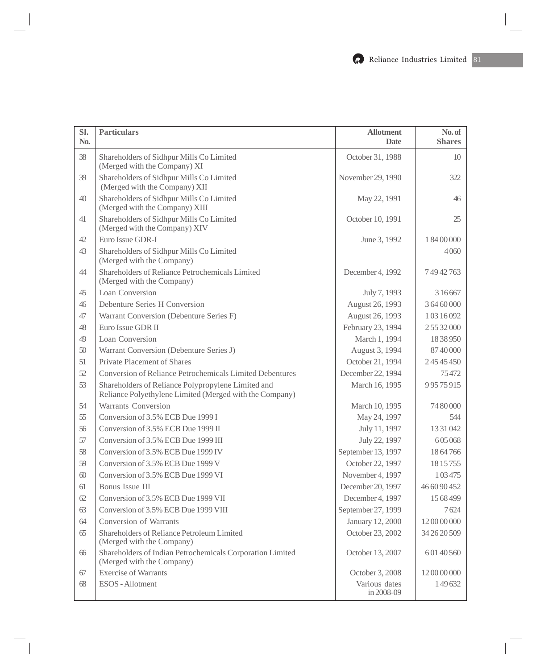| SI.<br>No. | <b>Particulars</b>                                                                                            | <b>Allotment</b><br><b>Date</b> | No. of<br><b>Shares</b> |
|------------|---------------------------------------------------------------------------------------------------------------|---------------------------------|-------------------------|
| 38         | Shareholders of Sidhpur Mills Co Limited<br>(Merged with the Company) XI                                      | October 31, 1988                | 10                      |
| 39         | Shareholders of Sidhpur Mills Co Limited<br>(Merged with the Company) XII                                     | November 29, 1990               | 322                     |
| 40         | Shareholders of Sidhpur Mills Co Limited<br>(Merged with the Company) XIII                                    | May 22, 1991                    | 46                      |
| 41         | Shareholders of Sidhpur Mills Co Limited<br>(Merged with the Company) XIV                                     | October 10, 1991                | 25                      |
| 42         | Euro Issue GDR-I                                                                                              | June 3, 1992                    | 1 84 00 000             |
| 43         | Shareholders of Sidhpur Mills Co Limited<br>(Merged with the Company)                                         |                                 | 4060                    |
| 44         | Shareholders of Reliance Petrochemicals Limited<br>(Merged with the Company)                                  | December 4, 1992                | 74942763                |
| 45         | Loan Conversion                                                                                               | July 7, 1993                    | 316667                  |
| 46         | Debenture Series H Conversion                                                                                 | August 26, 1993                 | 3 64 60 000             |
| 47         | Warrant Conversion (Debenture Series F)                                                                       | August 26, 1993                 | 10316092                |
| 48         | Euro Issue GDR II                                                                                             | February 23, 1994               | 25532000                |
| 49         | Loan Conversion                                                                                               | March 1, 1994                   | 1838950                 |
| 50         | Warrant Conversion (Debenture Series J)                                                                       | August 3, 1994                  | 8740000                 |
| 51         | <b>Private Placement of Shares</b>                                                                            | October 21, 1994                | 24545450                |
| 52         | <b>Conversion of Reliance Petrochemicals Limited Debentures</b>                                               | December 22, 1994               | 75472                   |
| 53         | Shareholders of Reliance Polypropylene Limited and<br>Reliance Polyethylene Limited (Merged with the Company) | March 16, 1995                  | 99575915                |
| 54         | Warrants Conversion                                                                                           | March 10, 1995                  | 74 80 000               |
| 55         | Conversion of 3.5% ECB Due 1999 I                                                                             | May 24, 1997                    | 544                     |
| 56         | Conversion of 3.5% ECB Due 1999 II                                                                            | July 11, 1997                   | 13 31 042               |
| 57         | Conversion of 3.5% ECB Due 1999 III                                                                           | July 22, 1997                   | 605068                  |
| 58         | Conversion of 3.5% ECB Due 1999 IV                                                                            | September 13, 1997              | 1864766                 |
| 59         | Conversion of 3.5% ECB Due 1999 V                                                                             | October 22, 1997                | 18 15 755               |
| 60         | Conversion of 3.5% ECB Due 1999 VI                                                                            | November 4, 1997                | 103475                  |
| 61         | Bonus Issue III                                                                                               | December 20, 1997               | 46 60 90 452            |
| 62         | Conversion of 3.5% ECB Due 1999 VII                                                                           | December 4, 1997                | 15 68 499               |
| 63         | Conversion of 3.5% ECB Due 1999 VIII                                                                          | September 27, 1999              | 7624                    |
| 64         | <b>Conversion of Warrants</b>                                                                                 | January 12, 2000                | 12 00 00 000            |
| 65         | Shareholders of Reliance Petroleum Limited<br>(Merged with the Company)                                       | October 23, 2002                | 34 26 20 509            |
| 66         | Shareholders of Indian Petrochemicals Corporation Limited<br>(Merged with the Company)                        | October 13, 2007                | 6 01 40 560             |
| 67         | <b>Exercise of Warrants</b>                                                                                   | October 3, 2008                 | 12 00 00 000            |
| 68         | ESOS - Allotment                                                                                              | Various dates<br>in 2008-09     | 149632                  |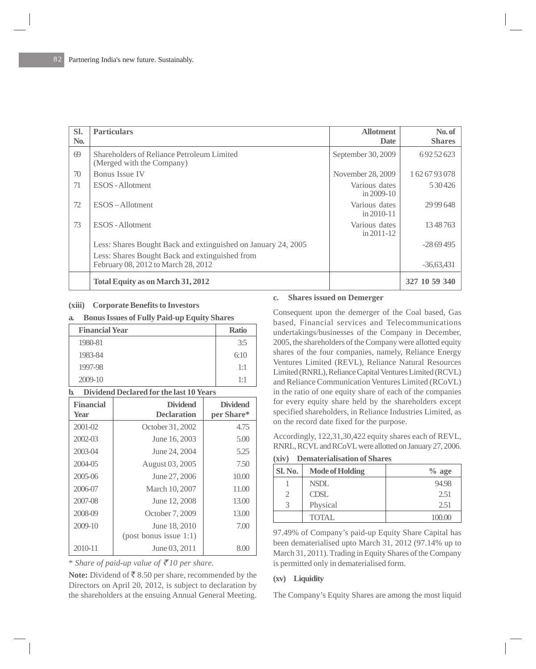| SI.<br>N <sub>0</sub> | <b>Particulars</b>                                                                    | <b>Allotment</b><br><b>Date</b> | No. of<br><b>Shares</b> |
|-----------------------|---------------------------------------------------------------------------------------|---------------------------------|-------------------------|
| 69                    | Shareholders of Reliance Petroleum Limited<br>(Merged with the Company)               | September 30, 2009              | 69252623                |
| 70                    | <b>Bonus Issue IV</b>                                                                 | November 28, 2009               | 1626793078              |
| 71                    | <b>ESOS</b> - Allotment                                                               | Various dates<br>in $2009-10$   | 530426                  |
| 72                    | $ESOS - Allotment$                                                                    | Various dates<br>in $2010 - 11$ | 29 99 648               |
| 73                    | ESOS - Allotment                                                                      | Various dates<br>in $2011 - 12$ | 1348763                 |
|                       | Less: Shares Bought Back and extinguished on January 24, 2005                         |                                 | $-2869495$              |
|                       | Less: Shares Bought Back and extinguished from<br>February 08, 2012 to March 28, 2012 |                                 | $-36,63,431$            |
|                       | Total Equity as on March 31, 2012                                                     |                                 | 327 10 59 340           |

### **(xiii) Corporate Benefits to Investors**

### **a. Bonus Issues of Fully Paid-up Equity Shares**

| <b>Financial Year</b> | <b>Ratio</b> |
|-----------------------|--------------|
| 1980-81               | 3:5          |
| 1983-84               | 6:10         |
| 1997-98               | 1:1          |
| $2009-10$             | $1-1$        |

# **b. Dividend Declared for the last 10 Years**

| <b>Financial</b><br>Year | <b>Dividend</b><br><b>Declaration</b> | <b>Dividend</b><br>per Share* |
|--------------------------|---------------------------------------|-------------------------------|
| $2001 - 02$              | October 31, 2002                      | 4.75                          |
| $2002 - 03$              | June 16, 2003                         | 5.00                          |
| $2003 - 04$              | June 24, 2004                         | 5.25                          |
| 2004-05                  | August 03, 2005                       | 7.50                          |
| $2005 - 06$              | June 27, 2006                         | 10.00                         |
| 2006-07                  | March 10, 2007                        | 11.00                         |
| 2007-08                  | June 12, 2008                         | 13.00                         |
| 2008-09                  | October 7, 2009                       | 13.00                         |
| $2009-10$                | June 18, 2010                         | 7.00                          |
|                          | (post bonus issue 1:1)                |                               |
| 2010-11                  | June 03, 2011                         | 8.00                          |

\* *Share of paid-up value of*  $\bar{\mathcal{F}}$  10 per share.

**Note:** Dividend of  $\bar{\mathbf{\xi}}$  8.50 per share, recommended by the Directors on April 20, 2012, is subject to declaration by the shareholders at the ensuing Annual General Meeting.

#### **c. Shares issued on Demerger**

Consequent upon the demerger of the Coal based, Gas based, Financial services and Telecommunications undertakings/businesses of the Company in December, 2005, the shareholders of the Company were allotted equity shares of the four companies, namely, Reliance Energy Ventures Limited (REVL), Reliance Natural Resources Limited (RNRL), Reliance Capital Ventures Limited (RCVL) and Reliance Communication Ventures Limited (RCoVL) in the ratio of one equity share of each of the companies for every equity share held by the shareholders except specified shareholders, in Reliance Industries Limited, as on the record date fixed for the purpose.

Accordingly, 122,31,30,422 equity shares each of REVL, RNRL, RCVL and RCoVL were allotted on January 27, 2006.

**(xiv) Dematerialisation of Shares**

| Sl. No.       | <b>Mode of Holding</b> | $\%$ age |
|---------------|------------------------|----------|
|               | <b>NSDL</b>            | 94.98    |
|               | <b>CDSL</b>            | 2.51     |
| $\mathcal{R}$ | Physical               | 2.51     |
|               | <b>TOTAL</b>           | 100.00   |

97.49% of Company's paid-up Equity Share Capital has been dematerialised upto March 31, 2012 (97.14% up to March 31, 2011). Trading in Equity Shares of the Company is permitted only in dematerialised form.

### **(xv) Liquidity**

The Company's Equity Shares are among the most liquid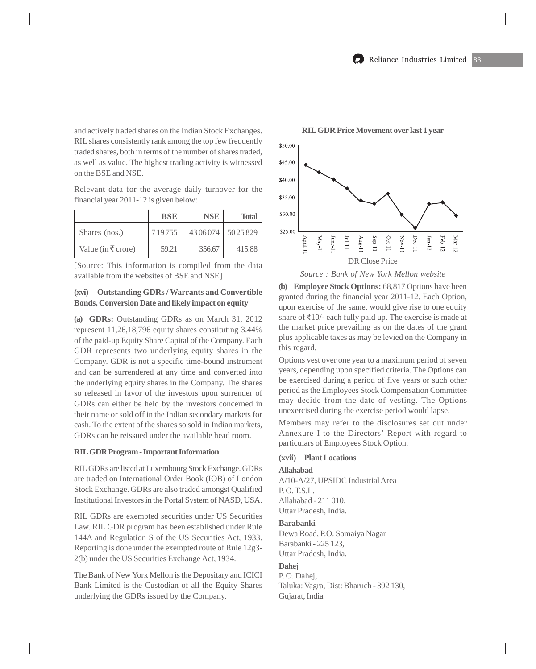and actively traded shares on the Indian Stock Exchanges. RIL shares consistently rank among the top few frequently traded shares, both in terms of the number of shares traded, as well as value. The highest trading activity is witnessed on the BSE and NSE.

Relevant data for the average daily turnover for the financial year 2011-12 is given below:

|                    | <b>BSE</b> | <b>NSE</b>            | <b>Total</b> |
|--------------------|------------|-----------------------|--------------|
| Shares (nos.)      | 719755     | 43 06 074   50 25 829 |              |
| Value (in ₹ crore) | 59.21      | 356.67                | 415.88       |

[Source: This information is compiled from the data available from the websites of BSE and NSE]

# **(xvi) Outstanding GDRs / Warrants and Convertible Bonds, Conversion Date and likely impact on equity**

**(a) GDRs:** Outstanding GDRs as on March 31, 2012 represent 11,26,18,796 equity shares constituting 3.44% of the paid-up Equity Share Capital of the Company. Each GDR represents two underlying equity shares in the Company. GDR is not a specific time-bound instrument and can be surrendered at any time and converted into the underlying equity shares in the Company. The shares so released in favor of the investors upon surrender of GDRs can either be held by the investors concerned in their name or sold off in the Indian secondary markets for cash. To the extent of the shares so sold in Indian markets, GDRs can be reissued under the available head room.

### **RIL GDR Program - Important Information**

RIL GDRs are listed at Luxembourg Stock Exchange. GDRs are traded on International Order Book (IOB) of London Stock Exchange. GDRs are also traded amongst Qualified Institutional Investors in the Portal System of NASD, USA.

RIL GDRs are exempted securities under US Securities Law. RIL GDR program has been established under Rule 144A and Regulation S of the US Securities Act, 1933. Reporting is done under the exempted route of Rule 12g3- 2(b) under the US Securities Exchange Act, 1934.

The Bank of New York Mellon is the Depositary and ICICI Bank Limited is the Custodian of all the Equity Shares underlying the GDRs issued by the Company.



**RIL GDR Price Movement over last 1 year**

*Source : Bank of New York Mellon website*

**(b) Employee Stock Options:** 68,817 Options have been granted during the financial year 2011-12. Each Option, upon exercise of the same, would give rise to one equity share of  $\overline{5}10/$ - each fully paid up. The exercise is made at the market price prevailing as on the dates of the grant plus applicable taxes as may be levied on the Company in this regard.

Options vest over one year to a maximum period of seven years, depending upon specified criteria. The Options can be exercised during a period of five years or such other period as the Employees Stock Compensation Committee may decide from the date of vesting. The Options unexercised during the exercise period would lapse.

Members may refer to the disclosures set out under Annexure I to the Directors' Report with regard to particulars of Employees Stock Option.

### **(xvii) Plant Locations**

#### **Allahabad**

A/10-A/27, UPSIDC Industrial Area P. O. T.S.L. Allahabad - 211 010, Uttar Pradesh, India.

# **Barabanki**

Dewa Road, P.O. Somaiya Nagar Barabanki - 225 123, Uttar Pradesh, India.

# **Dahej**

P. O. Dahej, Taluka: Vagra, Dist: Bharuch - 392 130, Gujarat, India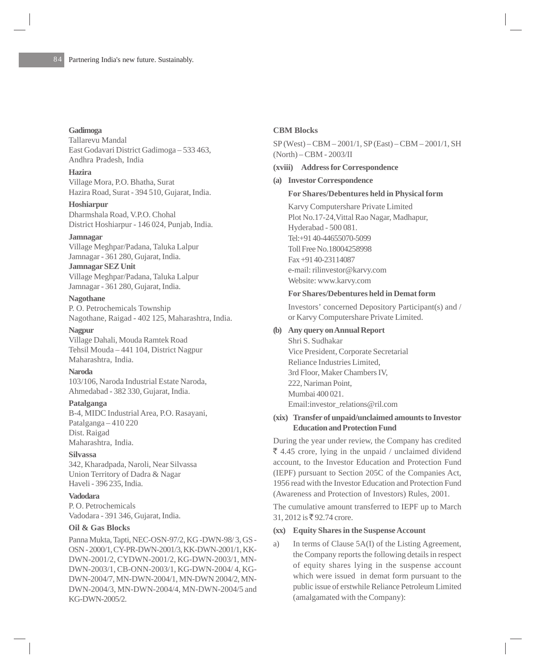#### **Gadimoga**

Tallarevu Mandal East Godavari District Gadimoga – 533 463, Andhra Pradesh, India

#### **Hazira**

Village Mora, P.O. Bhatha, Surat Hazira Road, Surat - 394 510, Gujarat, India.

#### **Hoshiarpur**

Dharmshala Road, V.P.O. Chohal District Hoshiarpur - 146 024, Punjab, India.

#### **Jamnagar**

Village Meghpar/Padana, Taluka Lalpur Jamnagar - 361 280, Gujarat, India.

#### **Jamnagar SEZ Unit**

Village Meghpar/Padana, Taluka Lalpur Jamnagar - 361 280, Gujarat, India.

### **Nagothane**

P. O. Petrochemicals Township Nagothane, Raigad - 402 125, Maharashtra, India.

#### **Nagpur**

Village Dahali, Mouda Ramtek Road Tehsil Mouda – 441 104, District Nagpur Maharashtra, India.

### **Naroda**

103/106, Naroda Industrial Estate Naroda, Ahmedabad - 382 330, Gujarat, India.

#### **Patalganga**

B-4, MIDC Industrial Area, P.O. Rasayani, Patalganga – 410 220 Dist. Raigad Maharashtra, India.

### **Silvassa**

342, Kharadpada, Naroli, Near Silvassa Union Territory of Dadra & Nagar Haveli - 396 235, India.

### **Vadodara**

P. O. Petrochemicals Vadodara - 391 346, Gujarat, India.

# **Oil & Gas Blocks**

Panna Mukta, Tapti, NEC-OSN-97/2, KG -DWN-98/ 3, GS - OSN - 2000/1, CY-PR-DWN-2001/3, KK-DWN-2001/1, KK-DWN-2001/2, CYDWN-2001/2, KG-DWN-2003/1, MN-DWN-2003/1, CB-ONN-2003/1, KG-DWN-2004/ 4, KG-DWN-2004/7, MN-DWN-2004/1, MN-DWN 2004/2, MN-DWN-2004/3, MN-DWN-2004/4, MN-DWN-2004/5 and KG-DWN-2005/2.

#### **CBM Blocks**

SP (West) – CBM – 2001/1, SP (East) – CBM – 2001/1, SH (North) – CBM - 2003/II

#### **(xviii) Address for Correspondence**

**(a) Investor Correspondence**

### **For Shares/Debentures held in Physical form**

Karvy Computershare Private Limited Plot No.17-24,Vittal Rao Nagar, Madhapur, Hyderabad - 500 081. Tel:+91 40-44655070-5099 Toll Free No.18004258998 Fax +91 40-23114087 e-mail: rilinvestor@karvy.com Website: www.karvy.com

### **For Shares/Debentures held in Demat form**

Investors' concerned Depository Participant(s) and / or Karvy Computershare Private Limited.

# **(b) Any query on Annual Report**

Shri S. Sudhakar Vice President, Corporate Secretarial Reliance Industries Limited, 3rd Floor, Maker Chambers IV, 222, Nariman Point, Mumbai 400 021. Email:investor\_relations@ril.com

# **(xix) Transfer of unpaid/unclaimed amounts to Investor Education and Protection Fund**

During the year under review, the Company has credited  $\bar{\xi}$  4.45 crore, lying in the unpaid / unclaimed dividend account, to the Investor Education and Protection Fund (IEPF) pursuant to Section 205C of the Companies Act, 1956 read with the Investor Education and Protection Fund (Awareness and Protection of Investors) Rules, 2001.

The cumulative amount transferred to IEPF up to March 31, 2012 is  $\bar{z}$  92.74 crore.

### **(xx) Equity Shares in the Suspense Account**

a) In terms of Clause 5A(I) of the Listing Agreement, the Company reports the following details in respect of equity shares lying in the suspense account which were issued in demat form pursuant to the public issue of erstwhile Reliance Petroleum Limited (amalgamated with the Company):